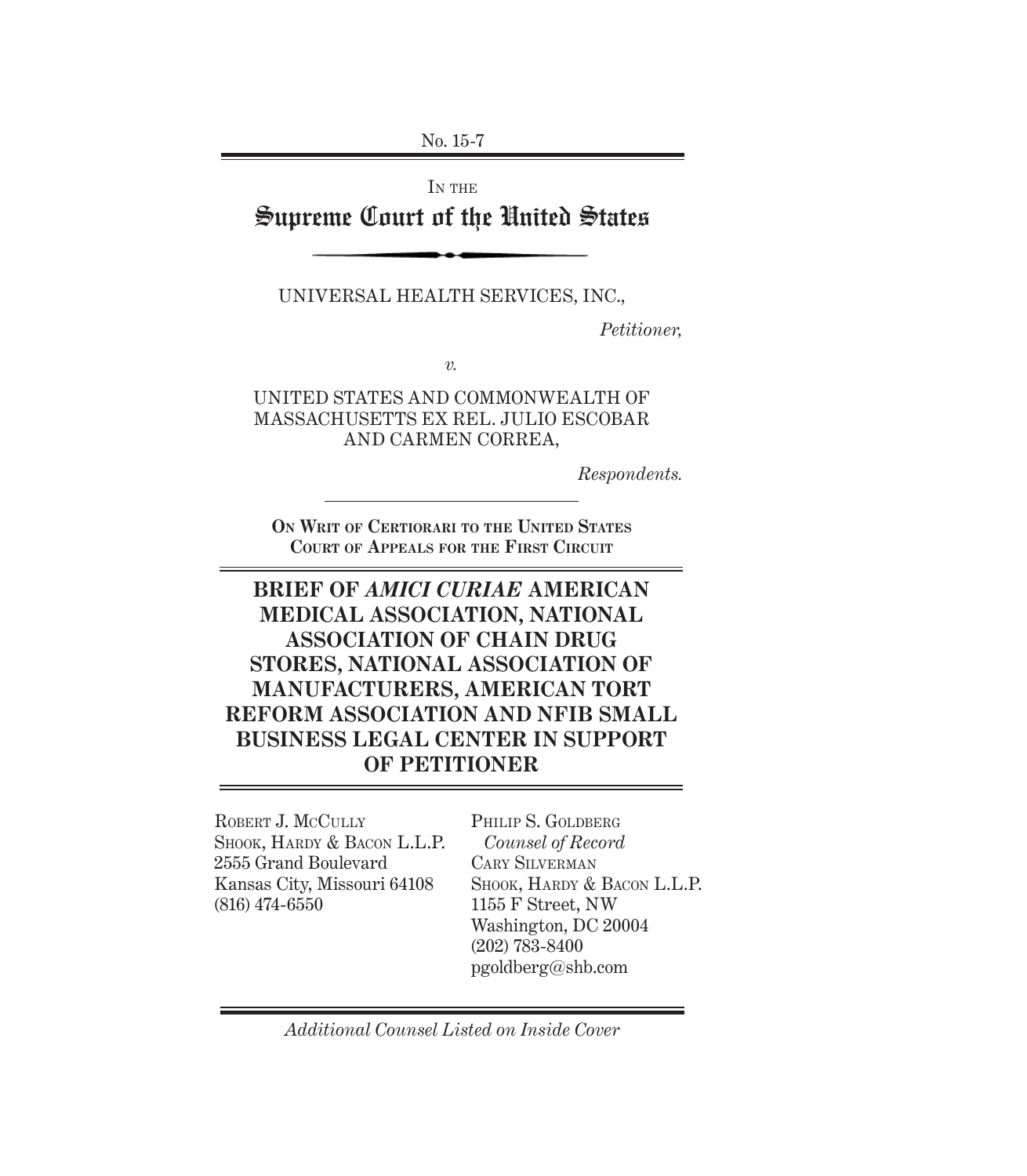No. 15-7

IN THE

# Supreme Court of the United States

UNIVERSAL HEALTH SERVICES, INC.,

*Petitioner,*

*v.*

UNITED STATES AND COMMONWEALTH OF MASSACHUSETTS EX REL. JULIO ESCOBAR AND CARMEN CORREA,

*Respondents.*

**ON WRIT OF CERTIORARI TO THE UNITED STATES COURT OF APPEALS FOR THE FIRST CIRCUIT**

# **BRIEF OF** *AMICI CURIAE* **AMERICAN MEDICAL ASSOCIATION, NATIONAL ASSOCIATION OF CHAIN DRUG STORES, NATIONAL ASSOCIATION OF MANUFACTURERS, AMERICAN TORT REFORM ASSOCIATION AND NFIB SMALL BUSINESS LEGAL CENTER IN SUPPORT OF PETITIONER**

ROBERT J. MCCULLY SHOOK, HARDY & BACON L.L.P. 2555 Grand Boulevard Kansas City, Missouri 64108 (816) 474-6550

PHILIP S. GOLDBERG *Counsel of Record* CARY SILVERMAN SHOOK, HARDY & BACON L.L.P. 1155 F Street, NW Washington, DC 20004 (202) 783-8400 pgoldberg@shb.com

*Additional Counsel Listed on Inside Cover*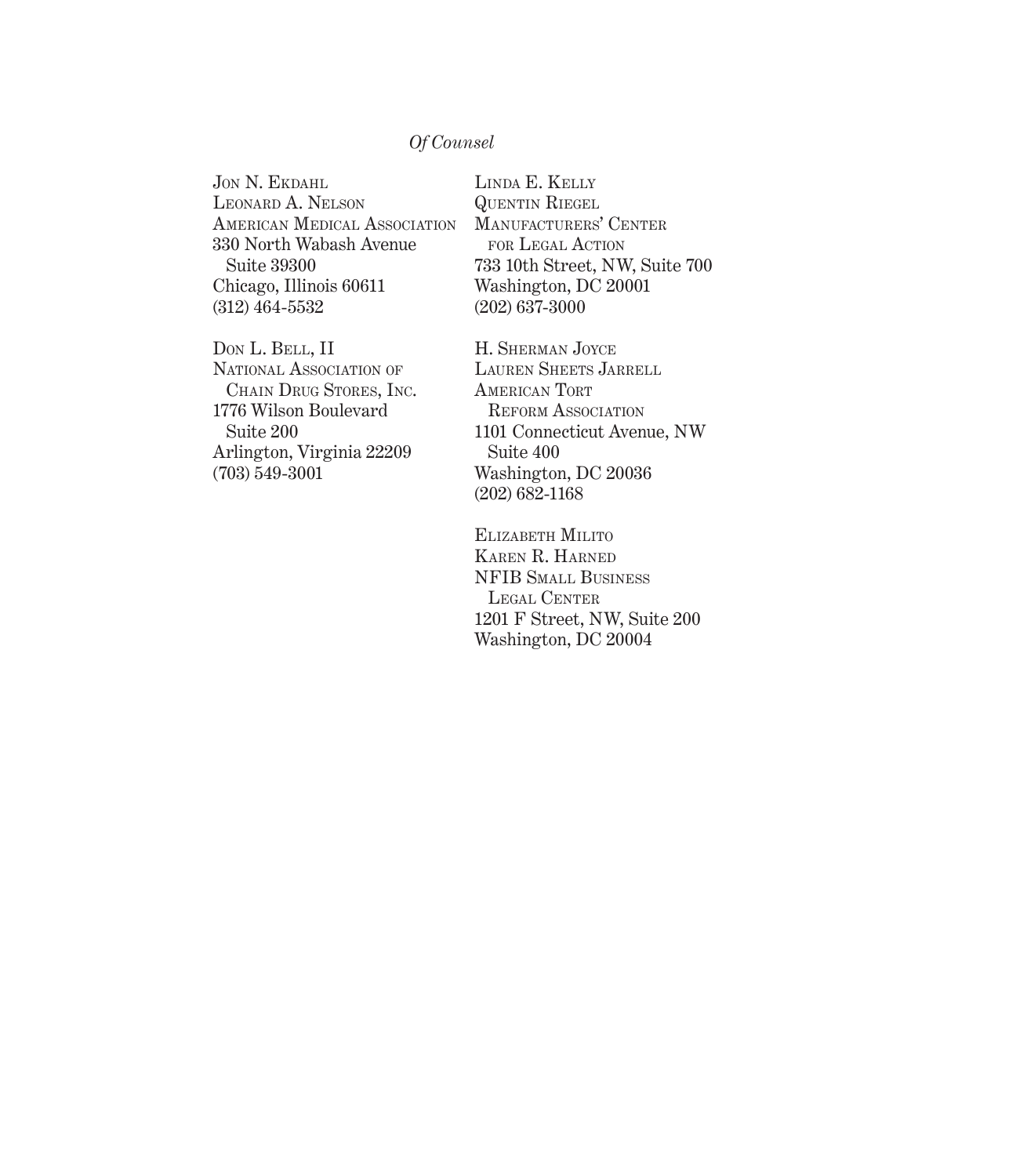#### *Of Counsel*

JON N. EKDAHL LEONARD A. NELSON AMERICAN MEDICAL ASSOCIATION 330 North Wabash Avenue Suite 39300 Chicago, Illinois 60611 (312) 464-5532

DON L. BELL, II NATIONAL ASSOCIATION OF CHAIN DRUG STORES, INC. 1776 Wilson Boulevard Suite 200 Arlington, Virginia 22209 (703) 549-3001

LINDA E. KELLY QUENTIN RIEGEL MANUFACTURERS' CENTER FOR LEGAL ACTION 733 10th Street, NW, Suite 700 Washington, DC 20001 (202) 637-3000

H. SHERMAN JOYCE LAUREN SHEETS JARRELL AMERICAN TORT REFORM ASSOCIATION 1101 Connecticut Avenue, NW Suite 400 Washington, DC 20036 (202) 682-1168

ELIZABETH MILITO KAREN R. HARNED NFIB SMALL BUSINESS LEGAL CENTER 1201 F Street, NW, Suite 200 Washington, DC 20004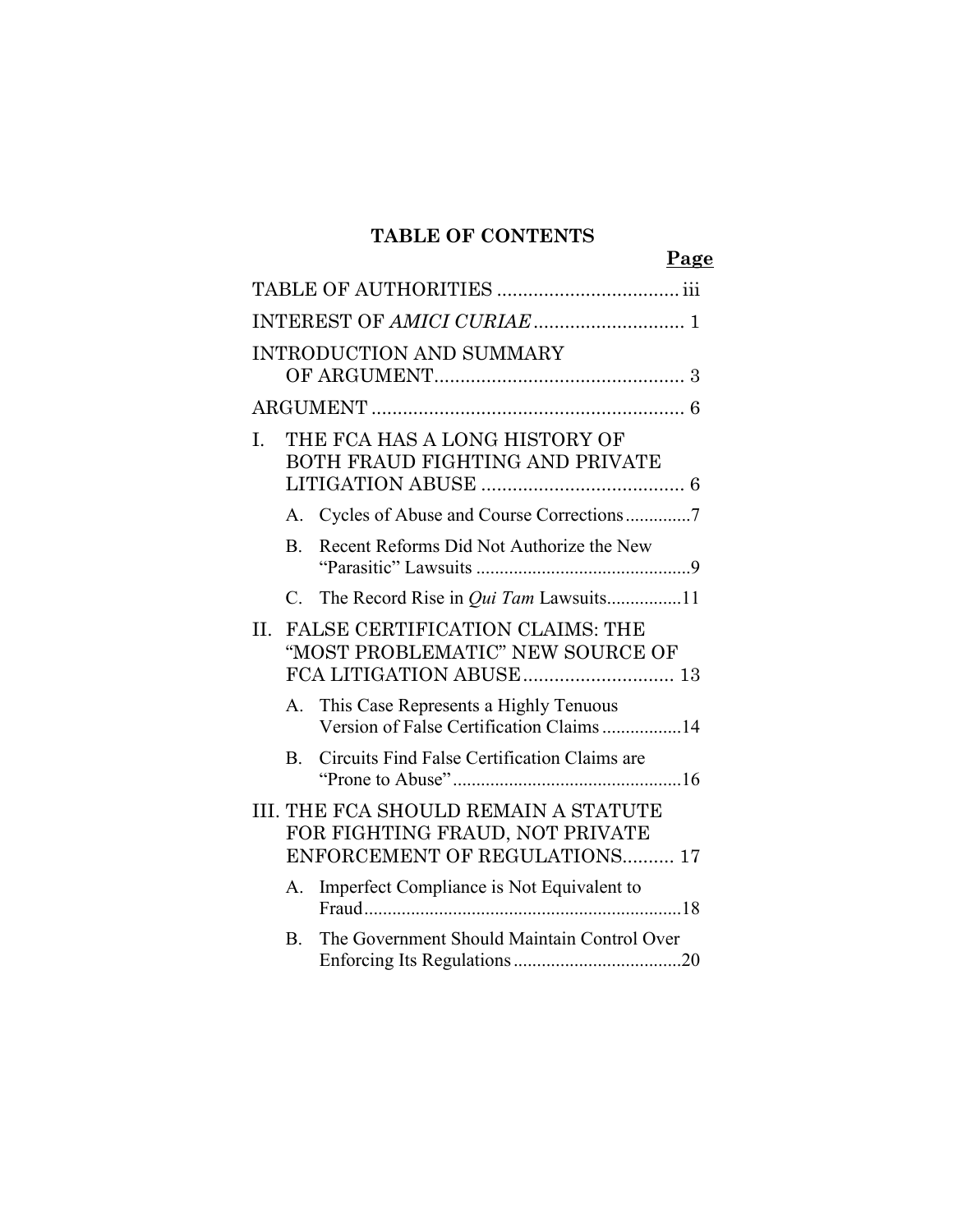### **TABLE OF CONTENTS**

**Page**

|     |                | <b>INTRODUCTION AND SUMMARY</b>                                                                          |
|-----|----------------|----------------------------------------------------------------------------------------------------------|
|     |                |                                                                                                          |
| L.  |                | THE FCA HAS A LONG HISTORY OF<br>BOTH FRAUD FIGHTING AND PRIVATE                                         |
|     | А.             | Cycles of Abuse and Course Corrections7                                                                  |
|     | $\mathbf{B}$ . | Recent Reforms Did Not Authorize the New                                                                 |
|     | C.             | The Record Rise in <i>Qui Tam</i> Lawsuits11                                                             |
| II. |                | <b>FALSE CERTIFICATION CLAIMS: THE</b><br>"MOST PROBLEMATIC" NEW SOURCE OF<br>FCA LITIGATION ABUSE 13    |
|     |                | A. This Case Represents a Highly Tenuous<br>Version of False Certification Claims 14                     |
|     | $\mathbf{B}$ . | Circuits Find False Certification Claims are                                                             |
|     |                | III. THE FCA SHOULD REMAIN A STATUTE<br>FOR FIGHTING FRAUD, NOT PRIVATE<br>ENFORCEMENT OF REGULATIONS 17 |
|     | Α.             | Imperfect Compliance is Not Equivalent to                                                                |
|     | $\bf{B}$ .     | The Government Should Maintain Control Over                                                              |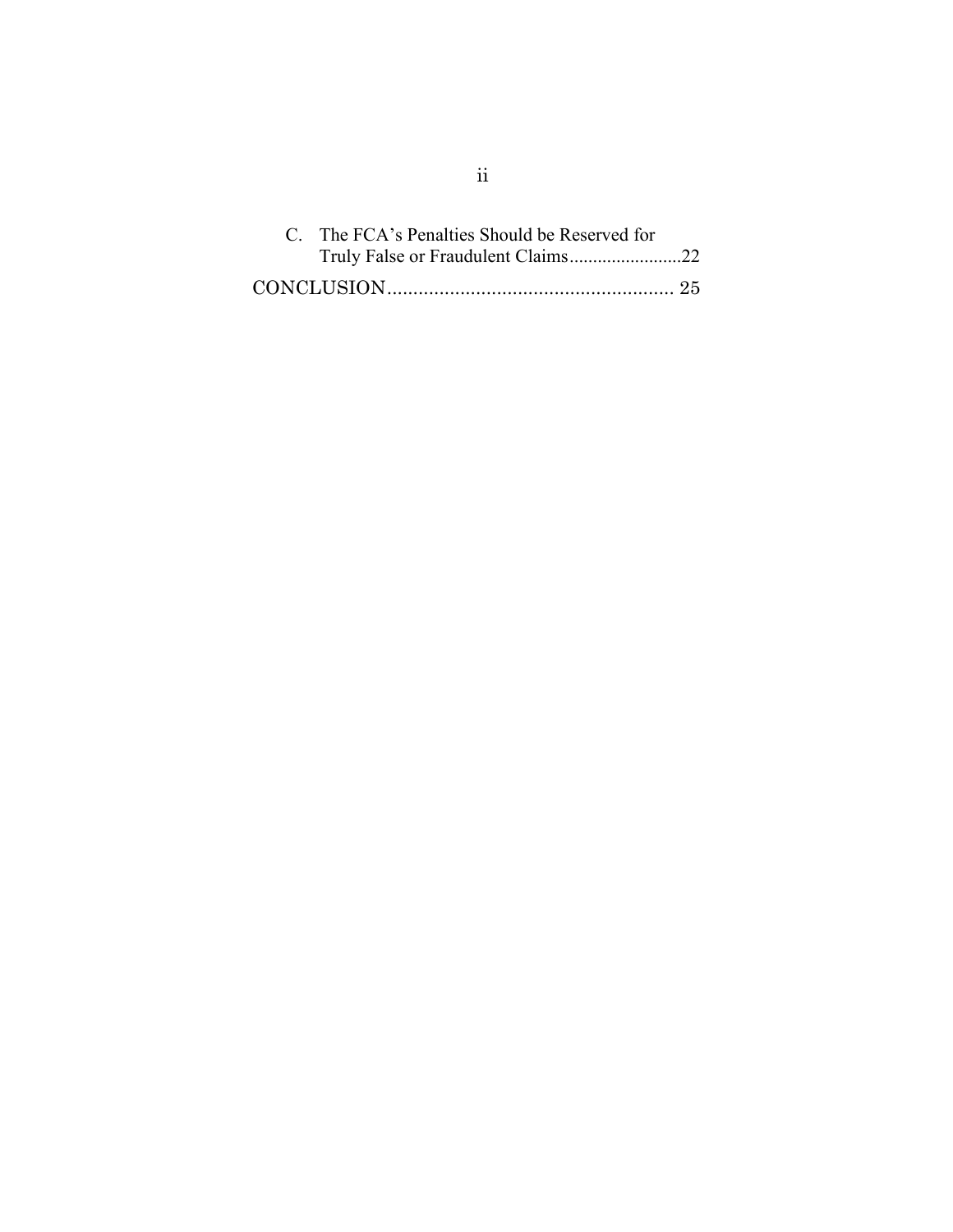| C. The FCA's Penalties Should be Reserved for |  |
|-----------------------------------------------|--|
| Truly False or Fraudulent Claims22            |  |
|                                               |  |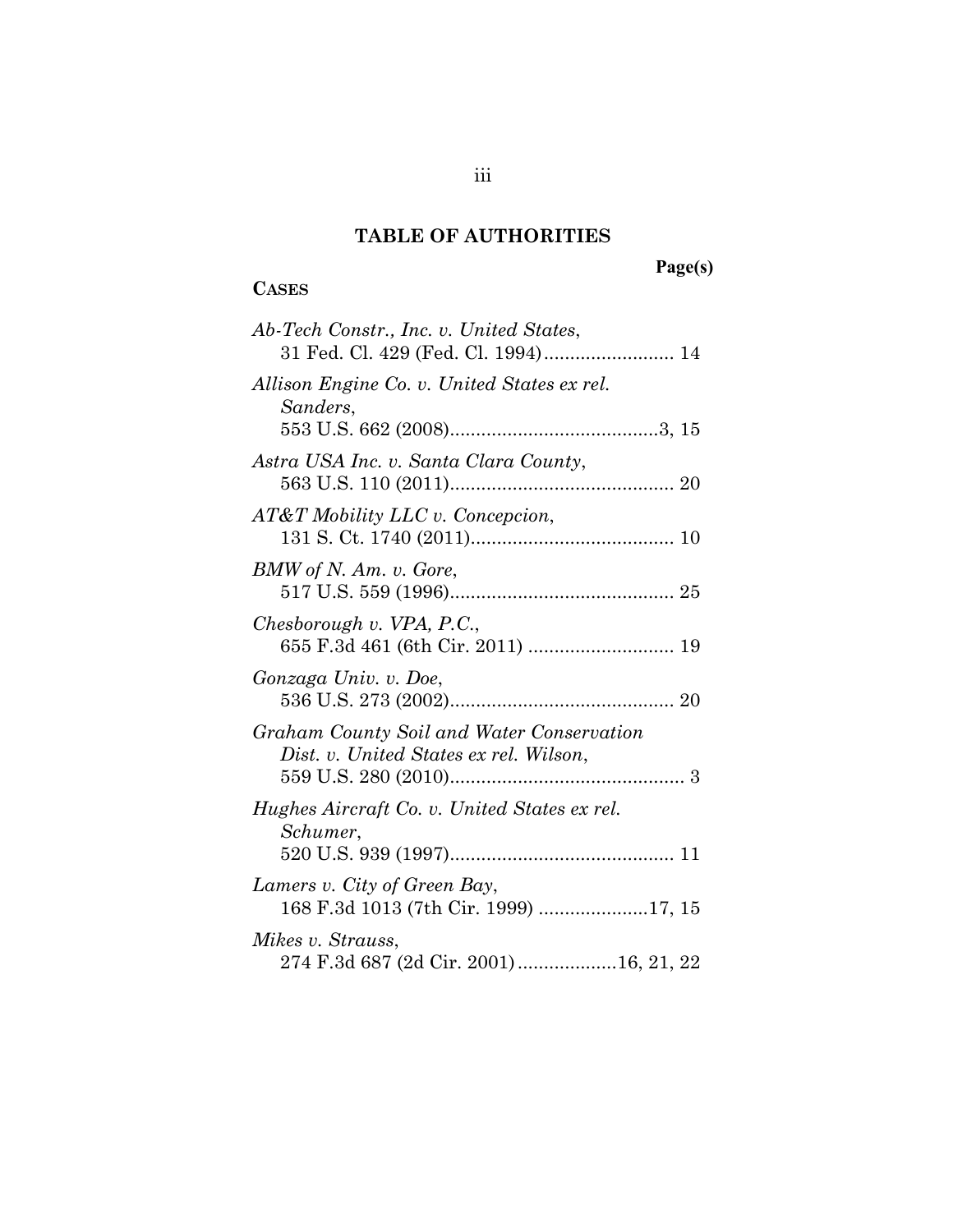### **TABLE OF AUTHORITIES**

# **Page(s)**

# **CASES**

| Ab-Tech Constr., Inc. v. United States,<br>31 Fed. Cl. 429 (Fed. Cl. 1994) 14                              |
|------------------------------------------------------------------------------------------------------------|
| Allison Engine Co. v. United States ex rel.<br>Sanders,                                                    |
| Astra USA Inc. v. Santa Clara County,                                                                      |
| AT&T Mobility LLC v. Concepcion,                                                                           |
| BMW of N. Am. v. Gore,                                                                                     |
| Chesborough v. VPA, P.C.,                                                                                  |
| Gonzaga Univ. v. Doe,                                                                                      |
| Graham County Soil and Water Conservation<br>Dist. v. United States ex rel. Wilson,<br>559 U.S. 280 (2010) |
| Hughes Aircraft Co. v. United States ex rel.<br>Schumer,                                                   |
| Lamers v. City of Green Bay,<br>168 F.3d 1013 (7th Cir. 1999) 17, 15                                       |
| Mikes v. Strauss,<br>274 F.3d 687 (2d Cir. 2001)16, 21, 22                                                 |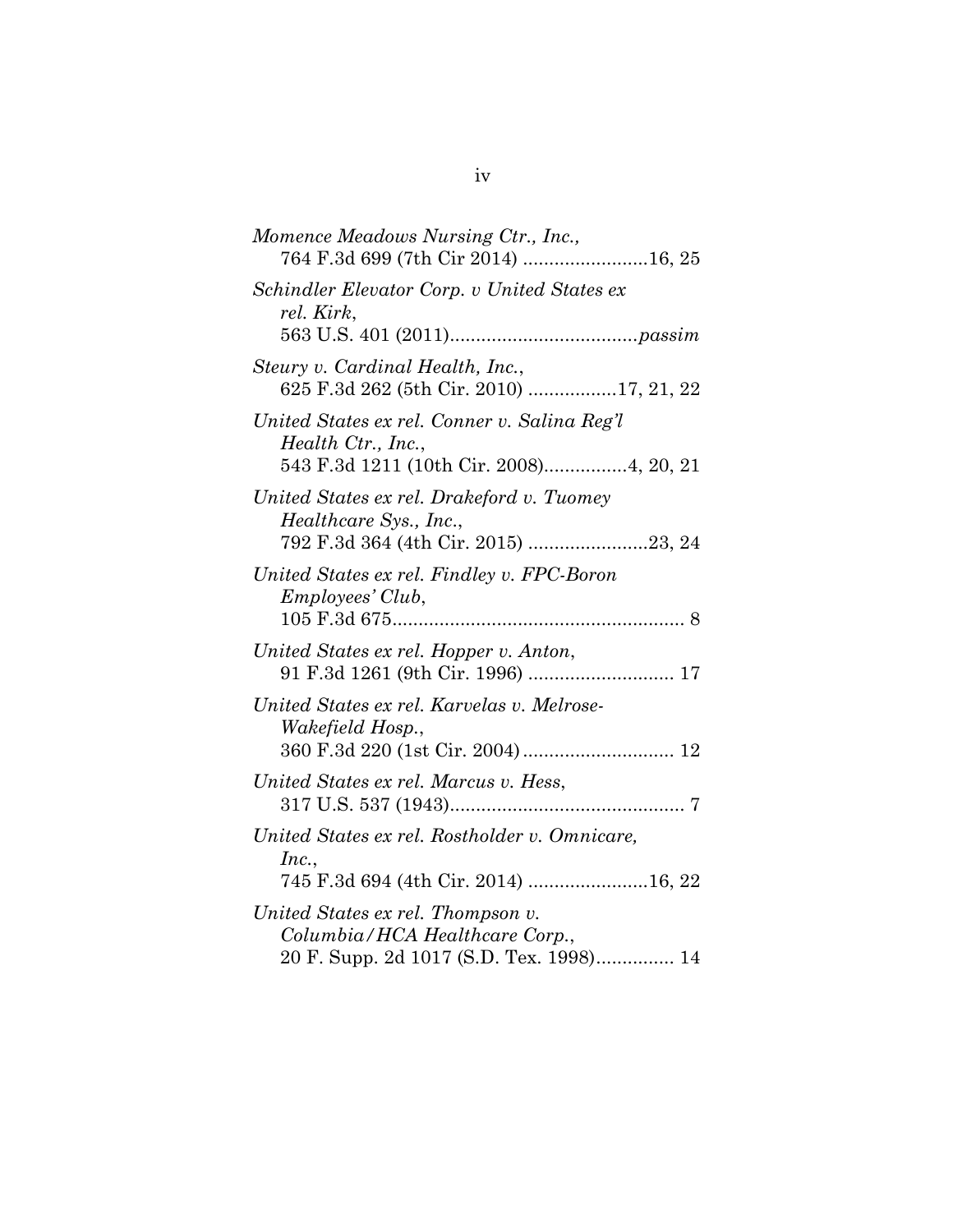| Momence Meadows Nursing Ctr., Inc.,<br>764 F.3d 699 (7th Cir 2014) 16, 25                                      |
|----------------------------------------------------------------------------------------------------------------|
| Schindler Elevator Corp. v United States ex<br>rel. Kirk,                                                      |
| Steury v. Cardinal Health, Inc.,<br>625 F.3d 262 (5th Cir. 2010) 17, 21, 22                                    |
| United States ex rel. Conner v. Salina Reg'l<br>Health Ctr., Inc.,<br>543 F.3d 1211 (10th Cir. 2008)4, 20, 21  |
| United States ex rel. Drakeford v. Tuomey<br>Healthcare Sys., Inc.,<br>792 F.3d 364 (4th Cir. 2015) 23, 24     |
| United States ex rel. Findley v. FPC-Boron<br>Employees' Club,                                                 |
| United States ex rel. Hopper v. Anton,                                                                         |
| United States ex rel. Karvelas v. Melrose-<br>Wakefield Hosp.,<br>360 F.3d 220 (1st Cir. 2004)  12             |
| United States ex rel. Marcus v. Hess,                                                                          |
| United States ex rel. Rostholder v. Omnicare,<br>Inc.,<br>745 F.3d 694 (4th Cir. 2014) 16, 22                  |
| United States ex rel. Thompson v.<br>Columbia/HCA Healthcare Corp.,<br>20 F. Supp. 2d 1017 (S.D. Tex. 1998) 14 |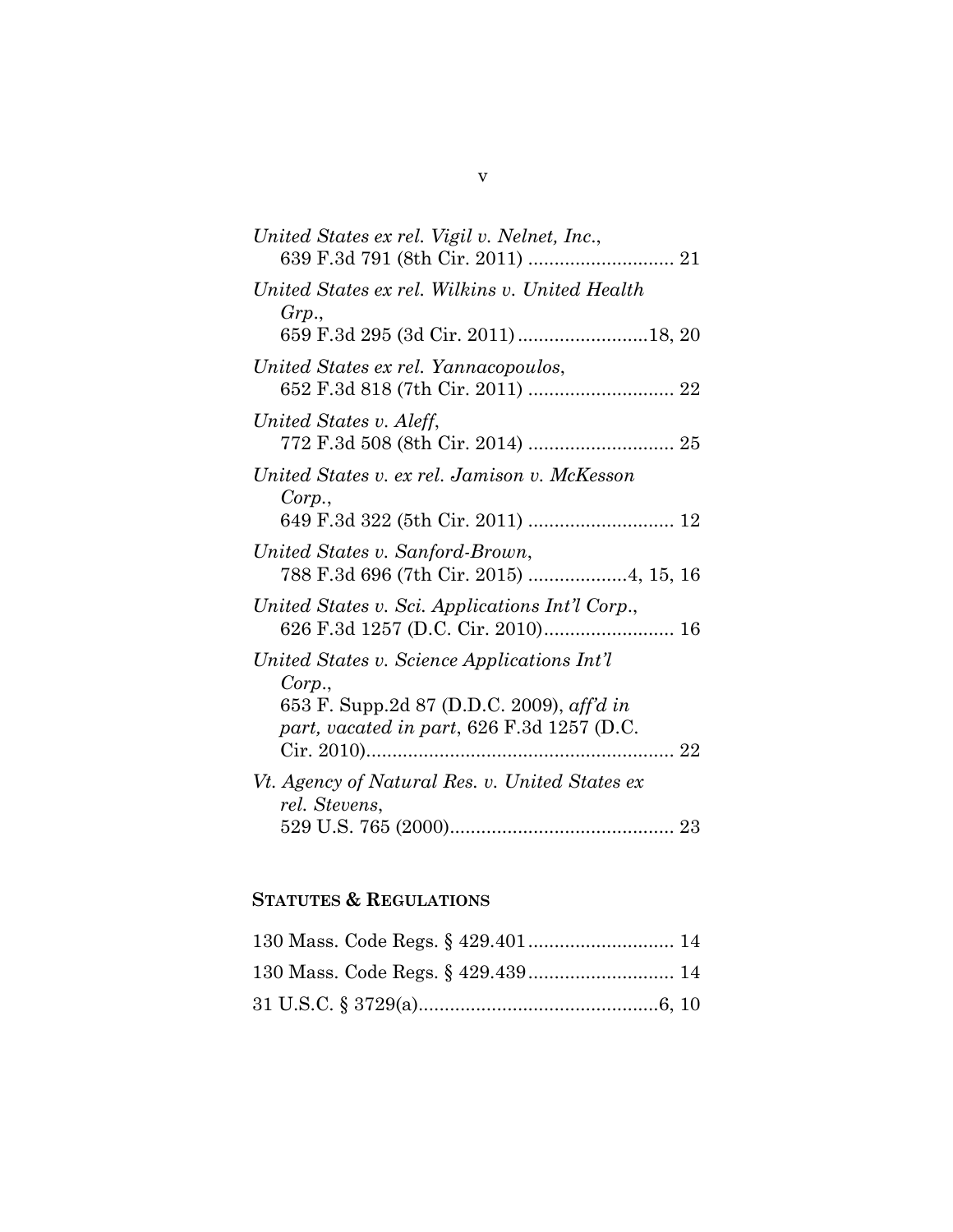| United States ex rel. Vigil v. Nelnet, Inc.,                                                                                                     |
|--------------------------------------------------------------------------------------------------------------------------------------------------|
| United States ex rel. Wilkins v. United Health<br>Grp.,                                                                                          |
|                                                                                                                                                  |
| United States ex rel. Yannacopoulos,                                                                                                             |
| United States v. Aleff,                                                                                                                          |
| United States v. ex rel. Jamison v. McKesson<br>Corp.,<br>649 F.3d 322 (5th Cir. 2011)  12                                                       |
| United States v. Sanford-Brown,<br>788 F.3d 696 (7th Cir. 2015) 4, 15, 16                                                                        |
| United States v. Sci. Applications Int'l Corp.,<br>626 F.3d 1257 (D.C. Cir. 2010) 16                                                             |
| United States v. Science Applications Int'l<br>Corp.,<br>653 F. Supp.2d 87 (D.D.C. 2009), aff'd in<br>part, vacated in part, 626 F.3d 1257 (D.C. |
| Vt. Agency of Natural Res. v. United States ex<br>rel. Stevens,                                                                                  |
|                                                                                                                                                  |

### **STATUTES & REGULATIONS**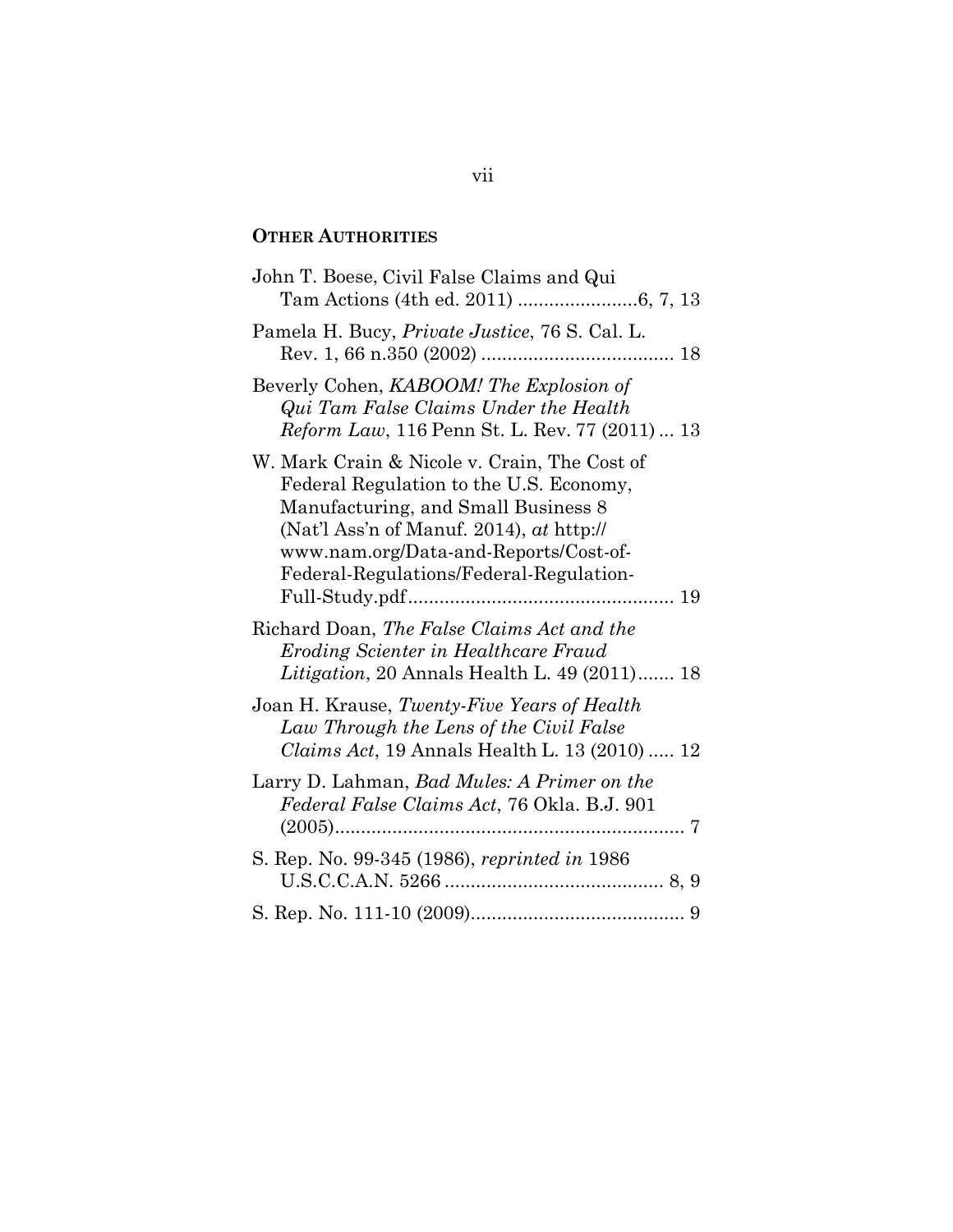### **OTHER AUTHORITIES**

| John T. Boese, Civil False Claims and Qui                                                                                                                                                                                                                        |
|------------------------------------------------------------------------------------------------------------------------------------------------------------------------------------------------------------------------------------------------------------------|
| Pamela H. Bucy, Private Justice, 76 S. Cal. L.                                                                                                                                                                                                                   |
| Beverly Cohen, KABOOM! The Explosion of<br>Qui Tam False Claims Under the Health<br>Reform Law, 116 Penn St. L. Rev. 77 (2011)  13                                                                                                                               |
| W. Mark Crain & Nicole v. Crain, The Cost of<br>Federal Regulation to the U.S. Economy,<br>Manufacturing, and Small Business 8<br>(Nat'l Ass'n of Manuf. 2014), $at$ http://<br>www.nam.org/Data-and-Reports/Cost-of-<br>Federal-Regulations/Federal-Regulation- |
| Richard Doan, The False Claims Act and the<br>Eroding Scienter in Healthcare Fraud<br>Litigation, 20 Annals Health L. 49 (2011) 18                                                                                                                               |
| Joan H. Krause, Twenty-Five Years of Health<br>Law Through the Lens of the Civil False<br><i>Claims Act</i> , 19 Annals Health L. 13 (2010)  12                                                                                                                  |
| Larry D. Lahman, Bad Mules: A Primer on the<br>Federal False Claims Act, 76 Okla. B.J. 901                                                                                                                                                                       |
| S. Rep. No. 99-345 (1986), reprinted in 1986                                                                                                                                                                                                                     |
|                                                                                                                                                                                                                                                                  |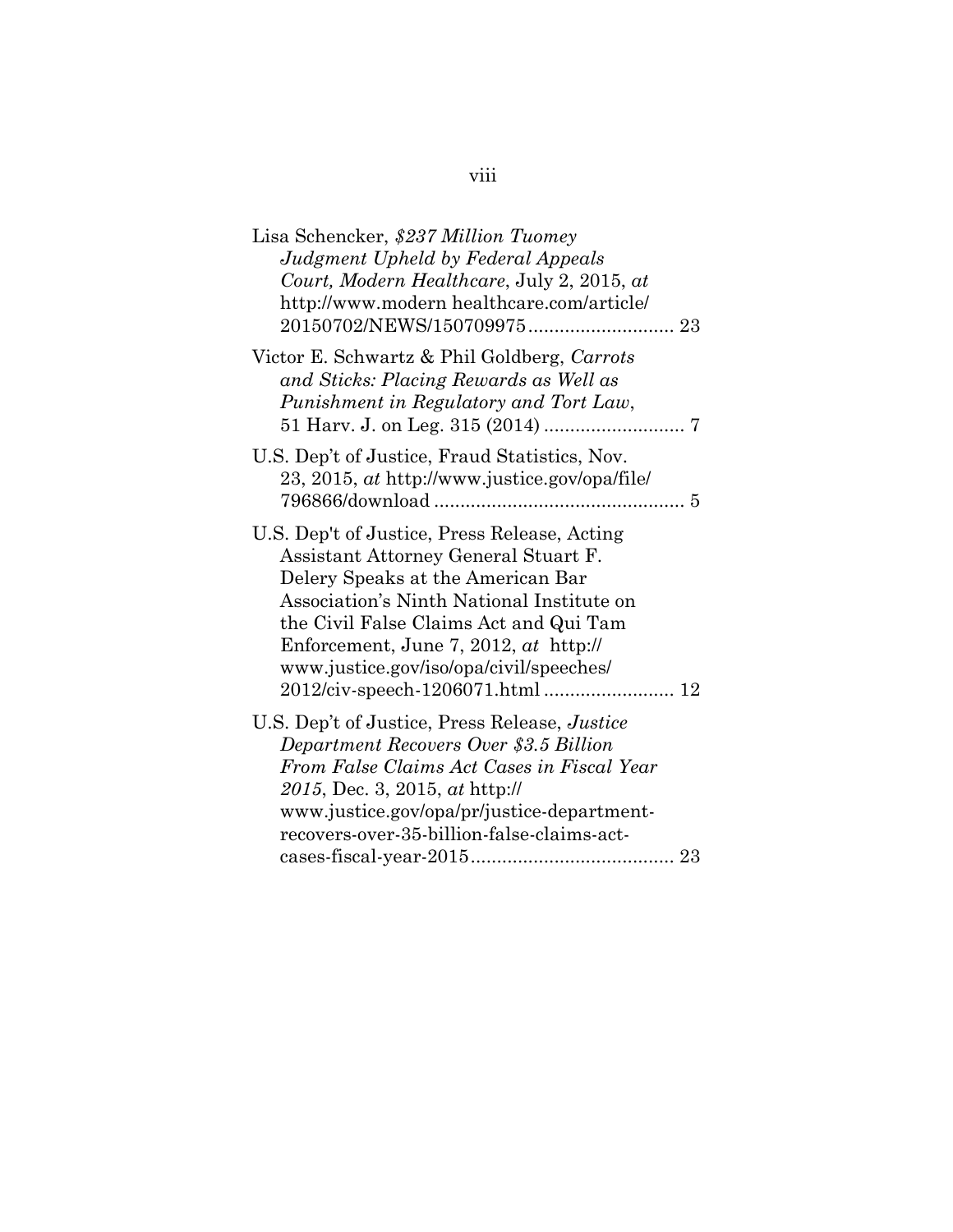| Lisa Schencker, \$237 Million Tuomey<br>Judgment Upheld by Federal Appeals<br>Court, Modern Healthcare, July 2, 2015, at<br>http://www.modern healthcare.com/article/                                                                                                                                  |  |
|--------------------------------------------------------------------------------------------------------------------------------------------------------------------------------------------------------------------------------------------------------------------------------------------------------|--|
| Victor E. Schwartz & Phil Goldberg, Carrots<br>and Sticks: Placing Rewards as Well as<br>Punishment in Regulatory and Tort Law,                                                                                                                                                                        |  |
| U.S. Dep't of Justice, Fraud Statistics, Nov.<br>23, 2015, at http://www.justice.gov/opa/file/                                                                                                                                                                                                         |  |
| U.S. Dep't of Justice, Press Release, Acting<br>Assistant Attorney General Stuart F.<br>Delery Speaks at the American Bar<br>Association's Ninth National Institute on<br>the Civil False Claims Act and Qui Tam<br>Enforcement, June 7, 2012, $at$ http://<br>www.justice.gov/iso/opa/civil/speeches/ |  |
| U.S. Dep't of Justice, Press Release, <i>Justice</i><br>Department Recovers Over \$3.5 Billion<br>From False Claims Act Cases in Fiscal Year<br>2015, Dec. 3, 2015, at http://<br>www.justice.gov/opa/pr/justice-department-<br>recovers-over-35-billion-false-claims-act-                             |  |
|                                                                                                                                                                                                                                                                                                        |  |

# viii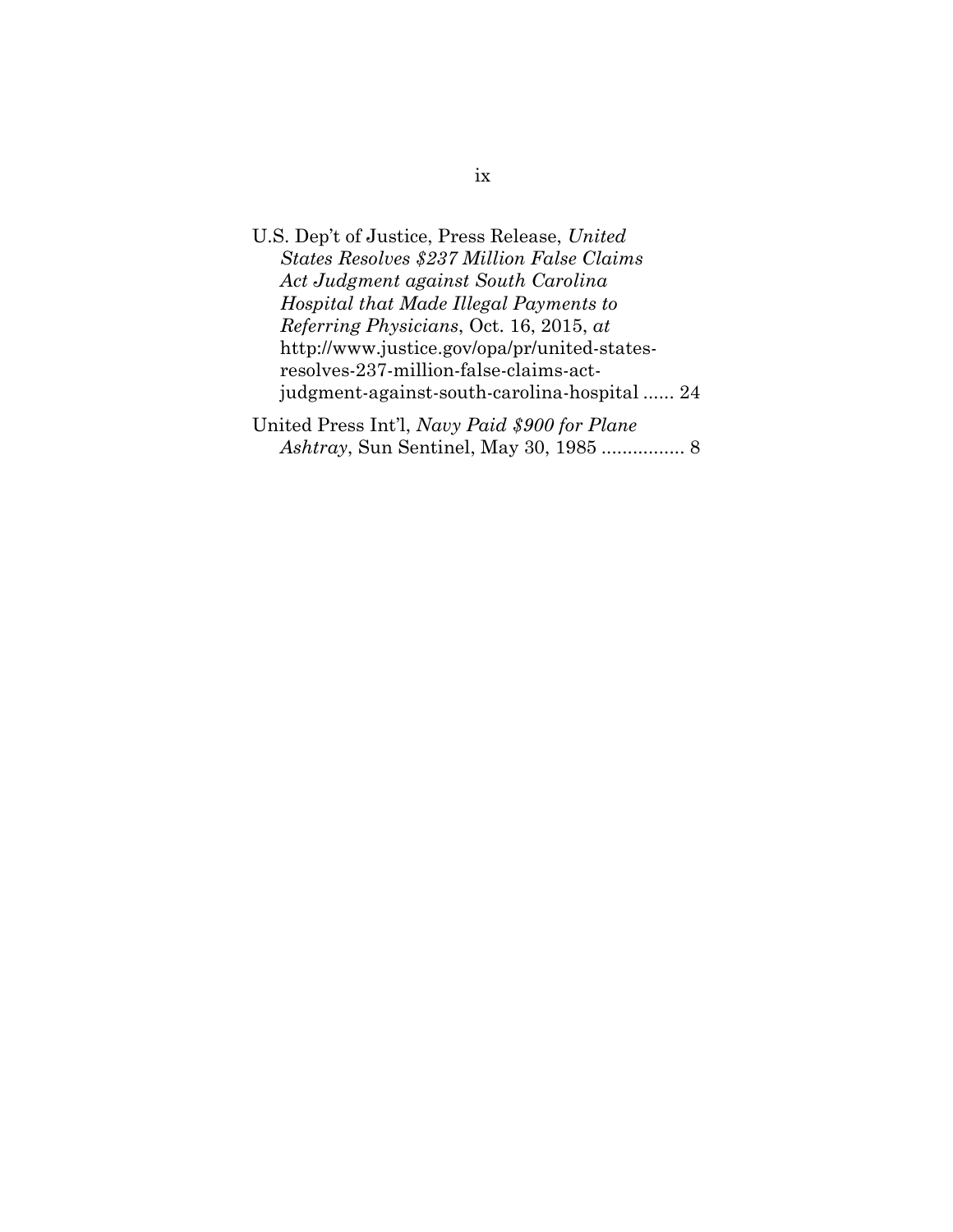U.S. Dep't of Justice, Press Release, *United States Resolves \$237 Million False Claims Act Judgment against South Carolina Hospital that Made Illegal Payments to Referring Physicians*, Oct. 16, 2015, *at* http://www.justice.gov/opa/pr/united-statesresolves-237-million-false-claims-actjudgment-against-south-carolina-hospital ...... 24 United Press Int'l, *Navy Paid \$900 for Plane Ashtray*, Sun Sentinel, May 30, 1985 ................ 8

ix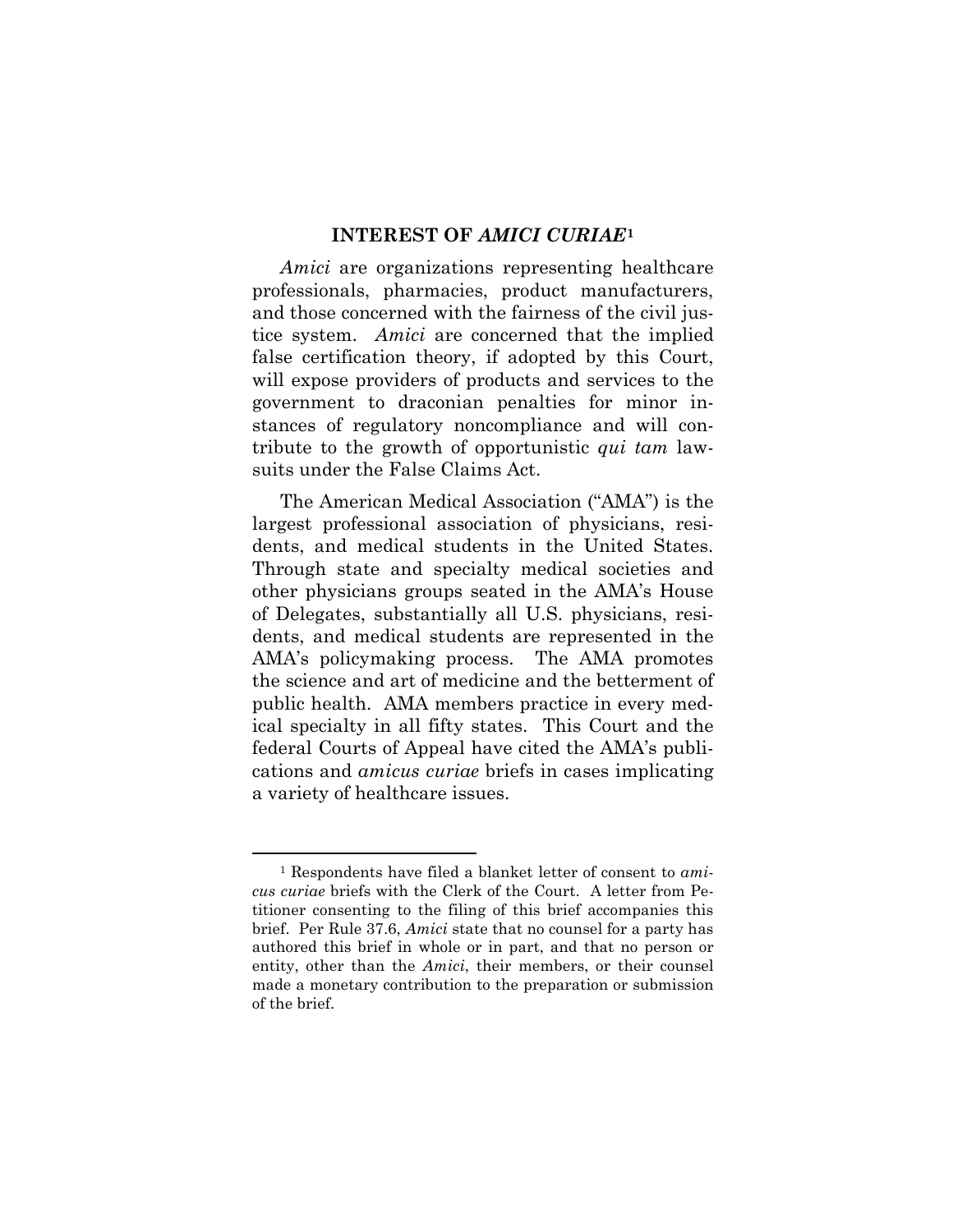#### **INTEREST OF** *AMICI CURIAE***<sup>1</sup>**

*Amici* are organizations representing healthcare professionals, pharmacies, product manufacturers, and those concerned with the fairness of the civil justice system. *Amici* are concerned that the implied false certification theory, if adopted by this Court, will expose providers of products and services to the government to draconian penalties for minor instances of regulatory noncompliance and will contribute to the growth of opportunistic *qui tam* lawsuits under the False Claims Act.

The American Medical Association ("AMA") is the largest professional association of physicians, residents, and medical students in the United States. Through state and specialty medical societies and other physicians groups seated in the AMA's House of Delegates, substantially all U.S. physicians, residents, and medical students are represented in the AMA's policymaking process. The AMA promotes the science and art of medicine and the betterment of public health. AMA members practice in every medical specialty in all fifty states. This Court and the federal Courts of Appeal have cited the AMA's publications and *amicus curiae* briefs in cases implicating a variety of healthcare issues.

 $\overline{a}$ 

<sup>1</sup> Respondents have filed a blanket letter of consent to *amicus curiae* briefs with the Clerk of the Court. A letter from Petitioner consenting to the filing of this brief accompanies this brief. Per Rule 37.6, *Amici* state that no counsel for a party has authored this brief in whole or in part, and that no person or entity, other than the *Amici*, their members, or their counsel made a monetary contribution to the preparation or submission of the brief.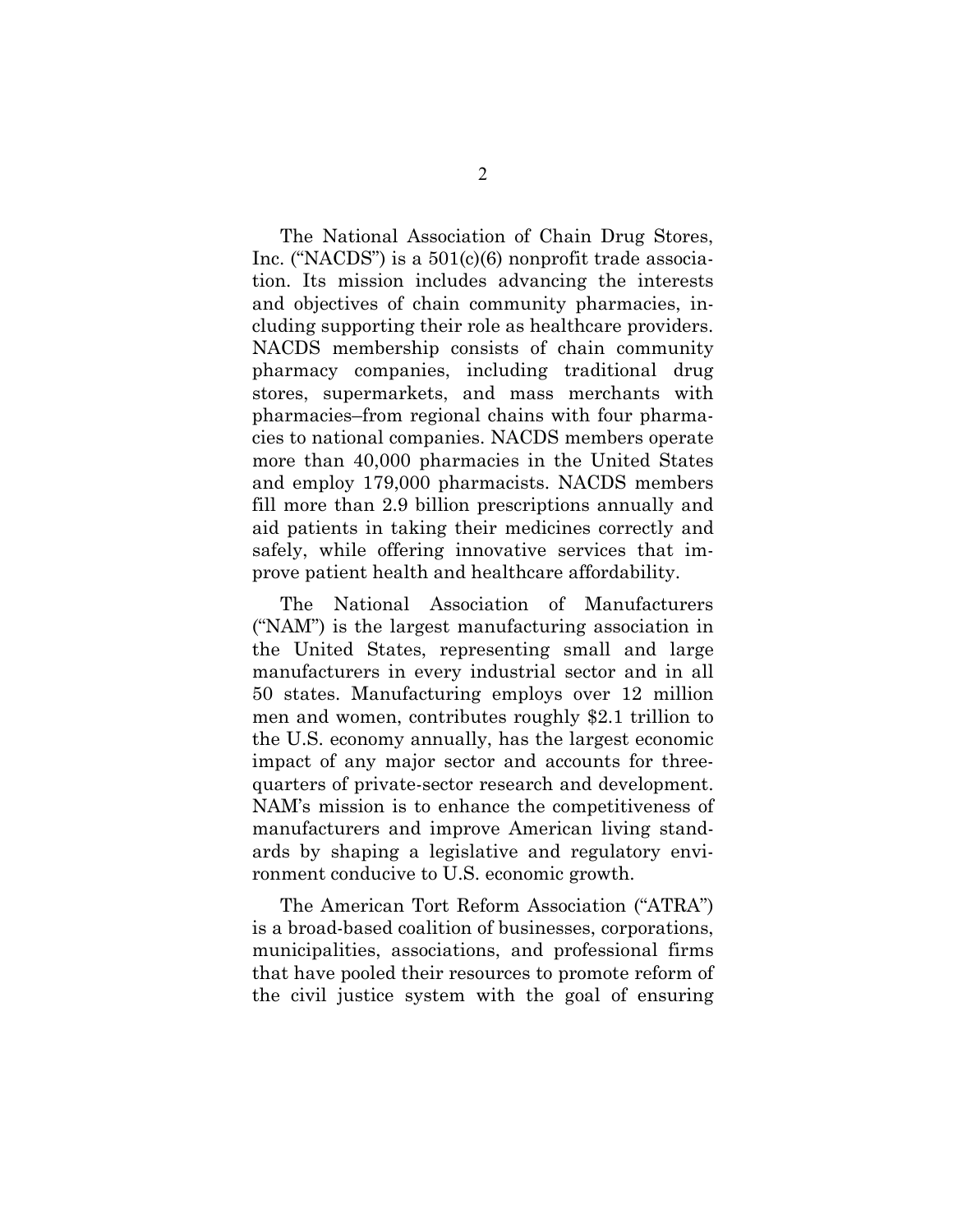The National Association of Chain Drug Stores, Inc. ("NACDS") is a 501(c)(6) nonprofit trade association. Its mission includes advancing the interests and objectives of chain community pharmacies, including supporting their role as healthcare providers. NACDS membership consists of chain community pharmacy companies, including traditional drug stores, supermarkets, and mass merchants with pharmacies–from regional chains with four pharmacies to national companies. NACDS members operate more than 40,000 pharmacies in the United States and employ 179,000 pharmacists. NACDS members fill more than 2.9 billion prescriptions annually and aid patients in taking their medicines correctly and safely, while offering innovative services that improve patient health and healthcare affordability.

The National Association of Manufacturers ("NAM") is the largest manufacturing association in the United States, representing small and large manufacturers in every industrial sector and in all 50 states. Manufacturing employs over 12 million men and women, contributes roughly \$2.1 trillion to the U.S. economy annually, has the largest economic impact of any major sector and accounts for threequarters of private-sector research and development. NAM's mission is to enhance the competitiveness of manufacturers and improve American living standards by shaping a legislative and regulatory environment conducive to U.S. economic growth.

The American Tort Reform Association ("ATRA") is a broad-based coalition of businesses, corporations, municipalities, associations, and professional firms that have pooled their resources to promote reform of the civil justice system with the goal of ensuring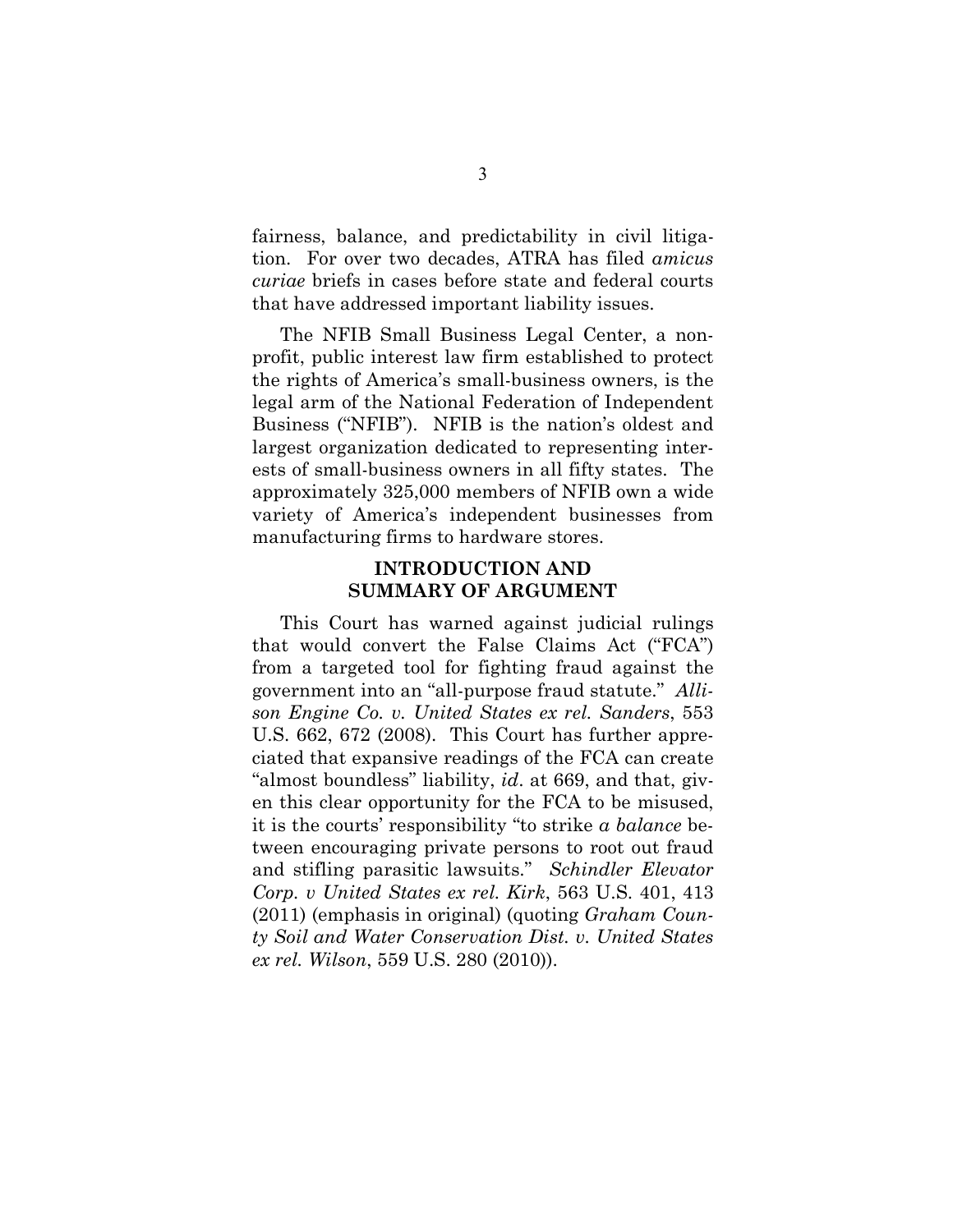fairness, balance, and predictability in civil litigation. For over two decades, ATRA has filed *amicus curiae* briefs in cases before state and federal courts that have addressed important liability issues.

The NFIB Small Business Legal Center, a nonprofit, public interest law firm established to protect the rights of America's small-business owners, is the legal arm of the National Federation of Independent Business ("NFIB"). NFIB is the nation's oldest and largest organization dedicated to representing interests of small-business owners in all fifty states. The approximately 325,000 members of NFIB own a wide variety of America's independent businesses from manufacturing firms to hardware stores.

### **INTRODUCTION AND SUMMARY OF ARGUMENT**

This Court has warned against judicial rulings that would convert the False Claims Act ("FCA") from a targeted tool for fighting fraud against the government into an "all-purpose fraud statute." *Allison Engine Co. v. United States ex rel. Sanders*, 553 U.S. 662, 672 (2008). This Court has further appreciated that expansive readings of the FCA can create "almost boundless" liability, *id*. at 669, and that, given this clear opportunity for the FCA to be misused, it is the courts' responsibility "to strike *a balance* between encouraging private persons to root out fraud and stifling parasitic lawsuits." *Schindler Elevator Corp. v United States ex rel. Kirk*, 563 U.S. 401, 413 (2011) (emphasis in original) (quoting *Graham County Soil and Water Conservation Dist. v. United States ex rel. Wilson*, 559 U.S. 280 (2010)).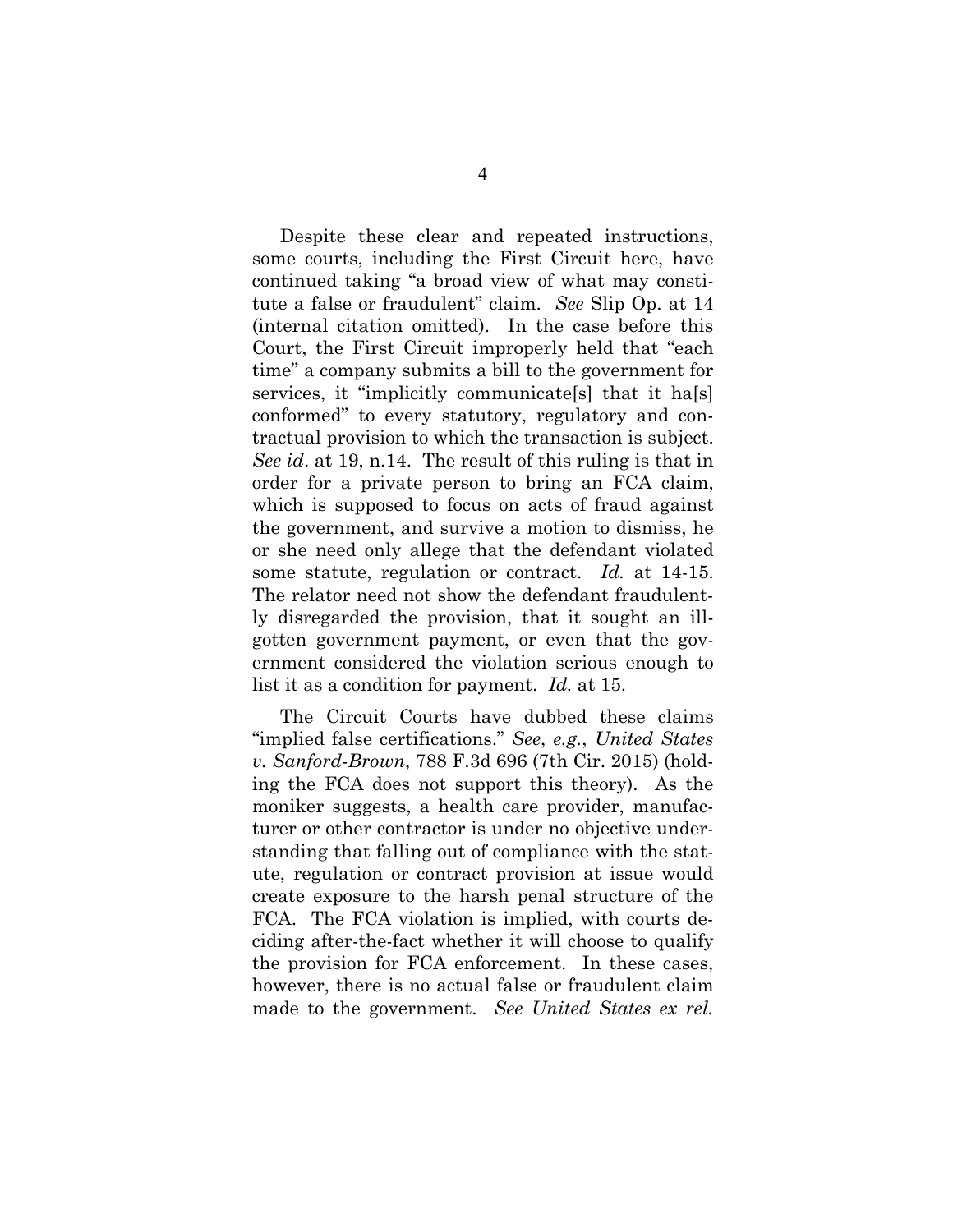Despite these clear and repeated instructions, some courts, including the First Circuit here, have continued taking "a broad view of what may constitute a false or fraudulent" claim. *See* Slip Op. at 14 (internal citation omitted). In the case before this Court, the First Circuit improperly held that "each time" a company submits a bill to the government for services, it "implicitly communicate<sup>[s]</sup> that it ha<sup>[s]</sup> conformed" to every statutory, regulatory and contractual provision to which the transaction is subject. *See id*. at 19, n.14. The result of this ruling is that in order for a private person to bring an FCA claim, which is supposed to focus on acts of fraud against the government, and survive a motion to dismiss, he or she need only allege that the defendant violated some statute, regulation or contract. *Id.* at 14-15. The relator need not show the defendant fraudulently disregarded the provision, that it sought an illgotten government payment, or even that the government considered the violation serious enough to list it as a condition for payment. *Id.* at 15.

The Circuit Courts have dubbed these claims "implied false certifications." *See*, *e.g.*, *United States v. Sanford-Brown*, 788 F.3d 696 (7th Cir. 2015) (holding the FCA does not support this theory). As the moniker suggests, a health care provider, manufacturer or other contractor is under no objective understanding that falling out of compliance with the statute, regulation or contract provision at issue would create exposure to the harsh penal structure of the FCA. The FCA violation is implied, with courts deciding after-the-fact whether it will choose to qualify the provision for FCA enforcement. In these cases, however, there is no actual false or fraudulent claim made to the government. *See United States ex rel.*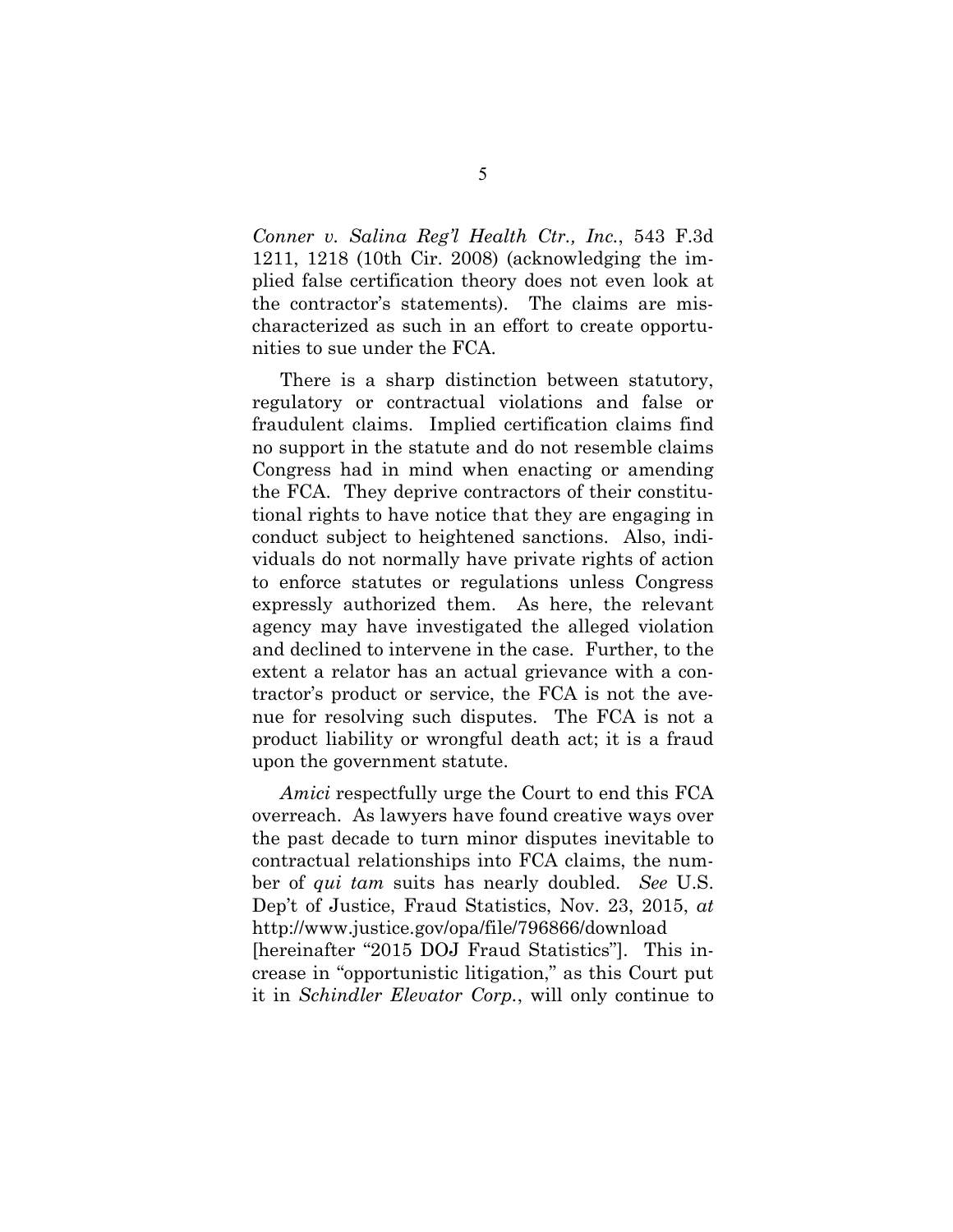*Conner v. Salina Reg'l Health Ctr., Inc.*, 543 F.3d 1211, 1218 (10th Cir. 2008) (acknowledging the implied false certification theory does not even look at the contractor's statements). The claims are mischaracterized as such in an effort to create opportunities to sue under the FCA.

There is a sharp distinction between statutory, regulatory or contractual violations and false or fraudulent claims. Implied certification claims find no support in the statute and do not resemble claims Congress had in mind when enacting or amending the FCA. They deprive contractors of their constitutional rights to have notice that they are engaging in conduct subject to heightened sanctions. Also, individuals do not normally have private rights of action to enforce statutes or regulations unless Congress expressly authorized them. As here, the relevant agency may have investigated the alleged violation and declined to intervene in the case. Further, to the extent a relator has an actual grievance with a contractor's product or service, the FCA is not the avenue for resolving such disputes. The FCA is not a product liability or wrongful death act; it is a fraud upon the government statute.

*Amici* respectfully urge the Court to end this FCA overreach. As lawyers have found creative ways over the past decade to turn minor disputes inevitable to contractual relationships into FCA claims, the number of *qui tam* suits has nearly doubled. *See* U.S. Dep't of Justice, Fraud Statistics, Nov. 23, 2015, *at* http://www.justice.gov/opa/file/796866/download [hereinafter "2015 DOJ Fraud Statistics"]. This increase in "opportunistic litigation," as this Court put it in *Schindler Elevator Corp.*, will only continue to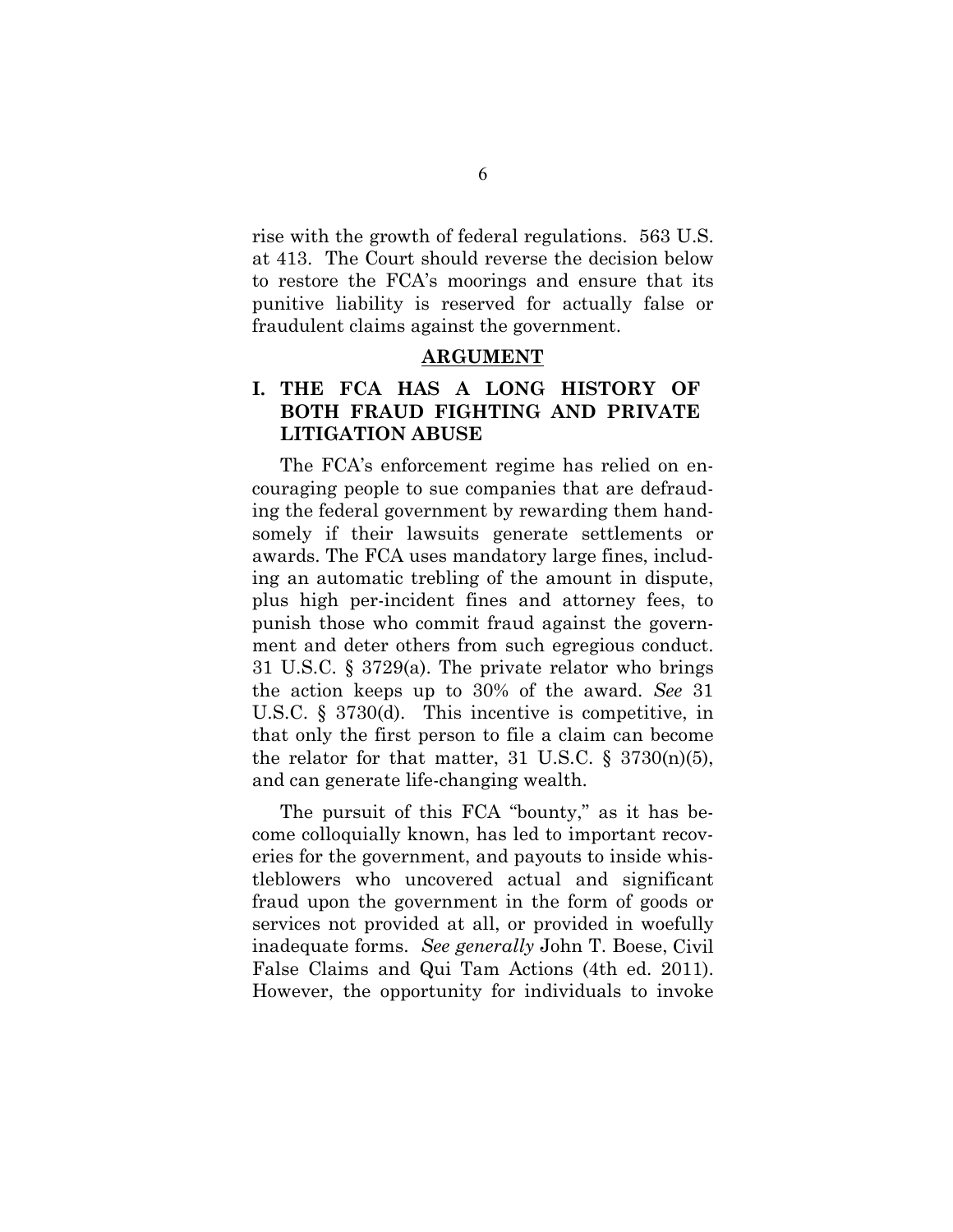rise with the growth of federal regulations. 563 U.S. at 413. The Court should reverse the decision below to restore the FCA's moorings and ensure that its punitive liability is reserved for actually false or fraudulent claims against the government.

#### **ARGUMENT**

### **I. THE FCA HAS A LONG HISTORY OF BOTH FRAUD FIGHTING AND PRIVATE LITIGATION ABUSE**

The FCA's enforcement regime has relied on encouraging people to sue companies that are defrauding the federal government by rewarding them handsomely if their lawsuits generate settlements or awards. The FCA uses mandatory large fines, including an automatic trebling of the amount in dispute, plus high per-incident fines and attorney fees, to punish those who commit fraud against the government and deter others from such egregious conduct. 31 U.S.C. § 3729(a). The private relator who brings the action keeps up to 30% of the award. *See* 31 U.S.C. § 3730(d). This incentive is competitive, in that only the first person to file a claim can become the relator for that matter, 31 U.S.C.  $\S$  3730(n)(5), and can generate life-changing wealth.

The pursuit of this FCA "bounty," as it has become colloquially known, has led to important recoveries for the government, and payouts to inside whistleblowers who uncovered actual and significant fraud upon the government in the form of goods or services not provided at all, or provided in woefully inadequate forms. *See generally* John T. Boese, Civil False Claims and Qui Tam Actions (4th ed. 2011). However, the opportunity for individuals to invoke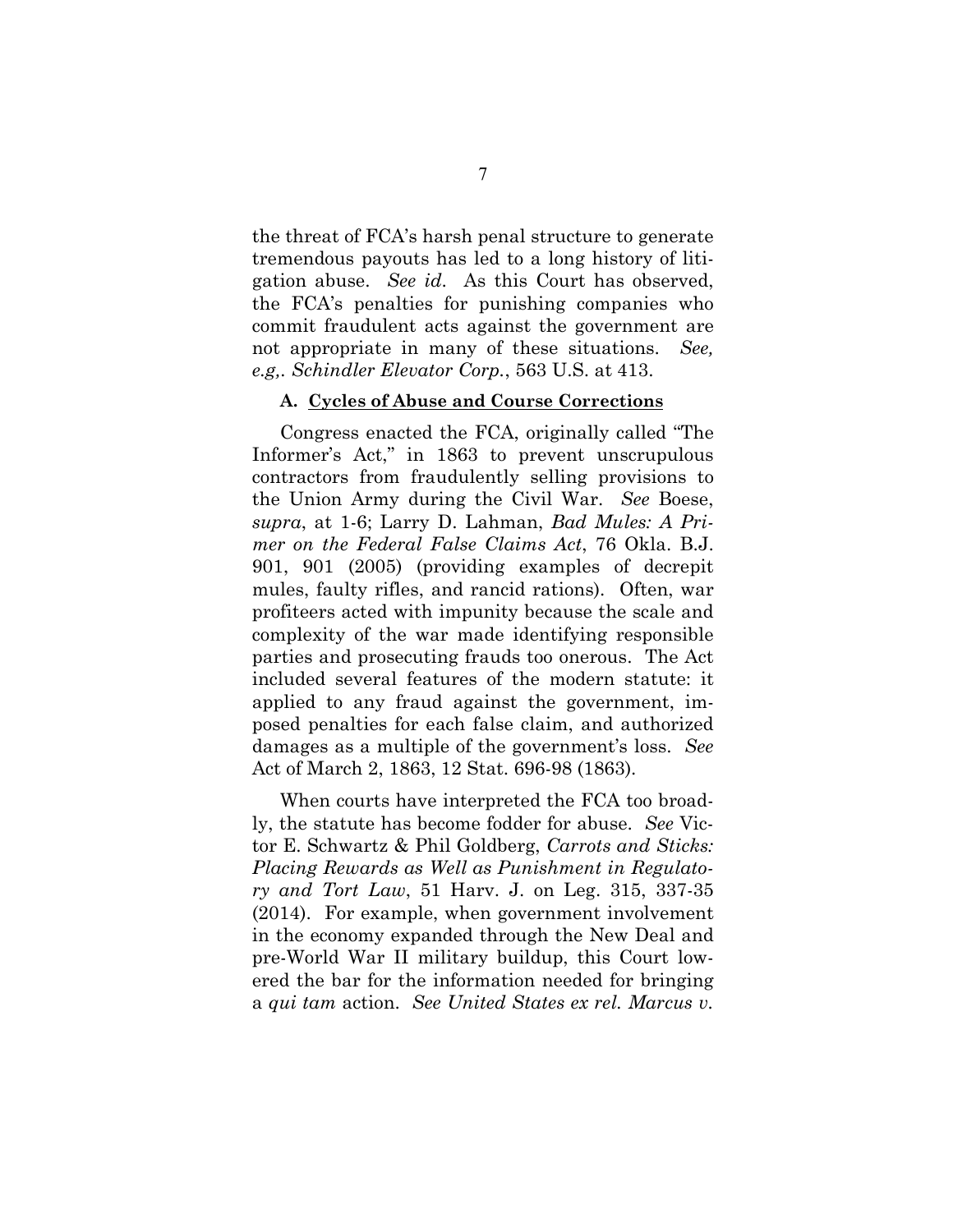the threat of FCA's harsh penal structure to generate tremendous payouts has led to a long history of litigation abuse. *See id*. As this Court has observed, the FCA's penalties for punishing companies who commit fraudulent acts against the government are not appropriate in many of these situations. *See, e.g,. Schindler Elevator Corp.*, 563 U.S. at 413.

#### **A. Cycles of Abuse and Course Corrections**

Congress enacted the FCA, originally called "The Informer's Act," in 1863 to prevent unscrupulous contractors from fraudulently selling provisions to the Union Army during the Civil War. *See* Boese, *supra*, at 1-6; Larry D. Lahman, *Bad Mules: A Primer on the Federal False Claims Act*, 76 Okla. B.J. 901, 901 (2005) (providing examples of decrepit mules, faulty rifles, and rancid rations). Often, war profiteers acted with impunity because the scale and complexity of the war made identifying responsible parties and prosecuting frauds too onerous. The Act included several features of the modern statute: it applied to any fraud against the government, imposed penalties for each false claim, and authorized damages as a multiple of the government's loss. *See* Act of March 2, 1863, 12 Stat. 696-98 (1863).

When courts have interpreted the FCA too broadly, the statute has become fodder for abuse. *See* Victor E. Schwartz & Phil Goldberg, *Carrots and Sticks: Placing Rewards as Well as Punishment in Regulatory and Tort Law*, 51 Harv. J. on Leg. 315, 337-35 (2014). For example, when government involvement in the economy expanded through the New Deal and pre-World War II military buildup, this Court lowered the bar for the information needed for bringing a *qui tam* action. *See United States ex rel. Marcus v.*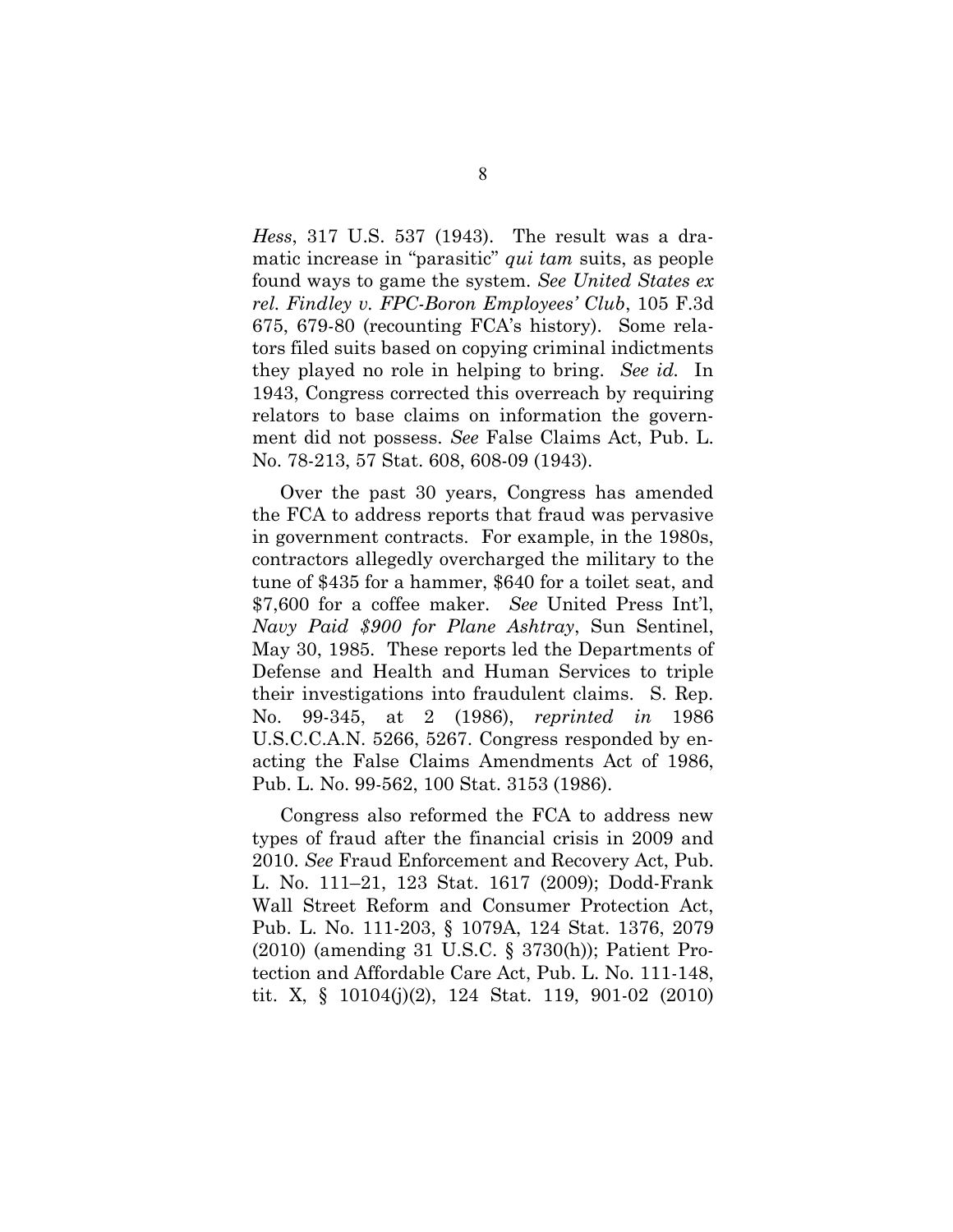*Hess*, 317 U.S. 537 (1943). The result was a dramatic increase in "parasitic" *qui tam* suits, as people found ways to game the system. *See United States ex rel. Findley v. FPC-Boron Employees' Club*, 105 F.3d 675, 679-80 (recounting FCA's history). Some relators filed suits based on copying criminal indictments they played no role in helping to bring. *See id.* In 1943, Congress corrected this overreach by requiring relators to base claims on information the government did not possess. *See* False Claims Act, Pub. L. No. 78-213, 57 Stat. 608, 608-09 (1943).

Over the past 30 years, Congress has amended the FCA to address reports that fraud was pervasive in government contracts. For example, in the 1980s, contractors allegedly overcharged the military to the tune of \$435 for a hammer, \$640 for a toilet seat, and \$7,600 for a coffee maker. *See* United Press Int'l, *Navy Paid \$900 for Plane Ashtray*, Sun Sentinel, May 30, 1985. These reports led the Departments of Defense and Health and Human Services to triple their investigations into fraudulent claims. S. Rep. No. 99-345, at 2 (1986), *reprinted in* 1986 U.S.C.C.A.N. 5266, 5267. Congress responded by enacting the False Claims Amendments Act of 1986, Pub. L. No. 99-562, 100 Stat. 3153 (1986).

Congress also reformed the FCA to address new types of fraud after the financial crisis in 2009 and 2010. *See* Fraud Enforcement and Recovery Act, Pub. L. No. 111–21, 123 Stat. 1617 (2009); Dodd-Frank Wall Street Reform and Consumer Protection Act, Pub. L. No. 111-203, § 1079A, 124 Stat. 1376, 2079 (2010) (amending 31 U.S.C. § 3730(h)); Patient Protection and Affordable Care Act, Pub. L. No. 111-148, tit. X, § 10104(j)(2), 124 Stat. 119, 901-02 (2010)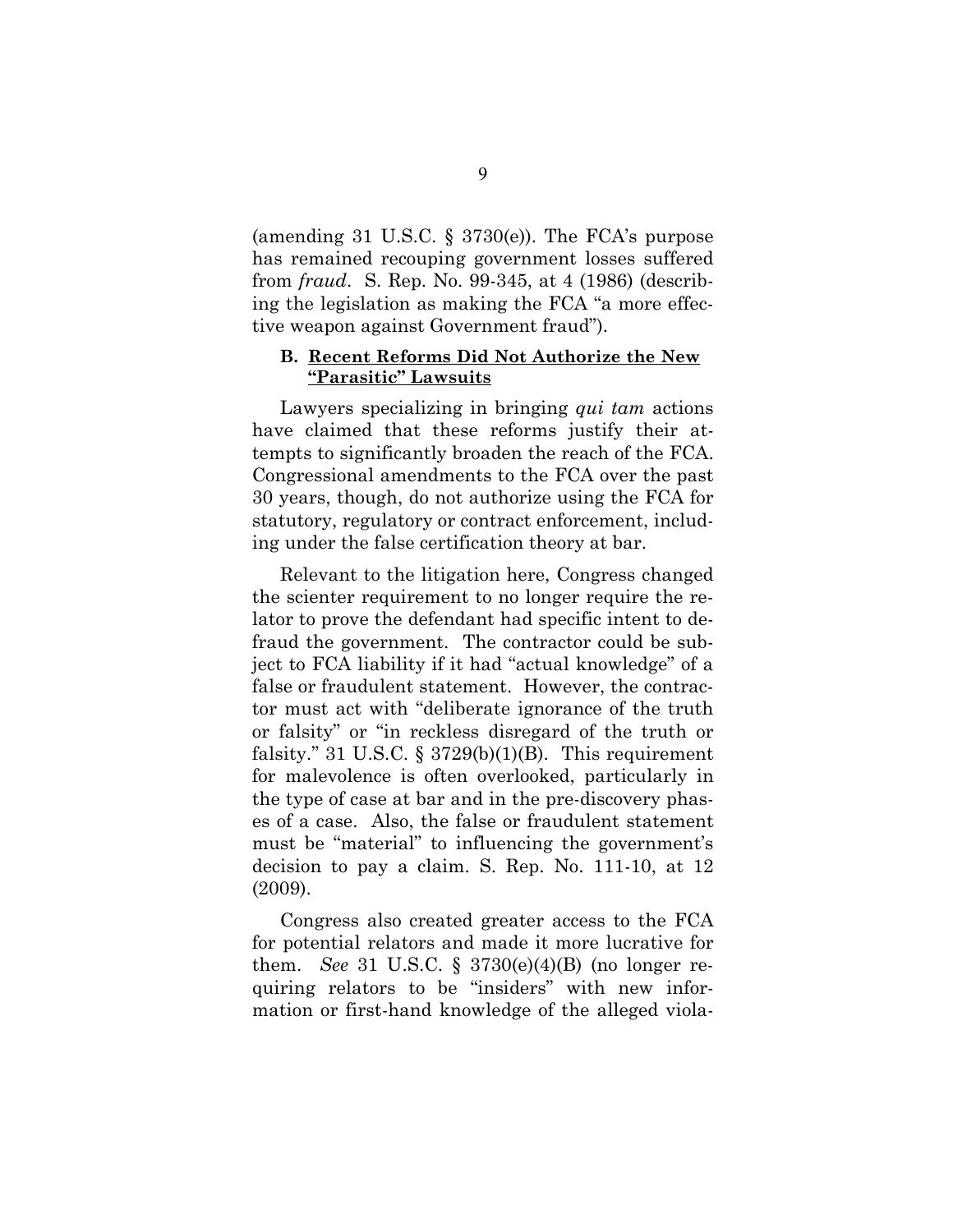(amending 31 U.S.C.  $\S$  3730(e)). The FCA's purpose has remained recouping government losses suffered from *fraud*. S. Rep. No. 99-345, at 4 (1986) (describing the legislation as making the FCA "a more effective weapon against Government fraud").

#### **B. Recent Reforms Did Not Authorize the New "Parasitic" Lawsuits**

Lawyers specializing in bringing *qui tam* actions have claimed that these reforms justify their attempts to significantly broaden the reach of the FCA. Congressional amendments to the FCA over the past 30 years, though, do not authorize using the FCA for statutory, regulatory or contract enforcement, including under the false certification theory at bar.

Relevant to the litigation here, Congress changed the scienter requirement to no longer require the relator to prove the defendant had specific intent to defraud the government. The contractor could be subject to FCA liability if it had "actual knowledge" of a false or fraudulent statement. However, the contractor must act with "deliberate ignorance of the truth or falsity" or "in reckless disregard of the truth or falsity." 31 U.S.C.  $\S 3729(b)(1)(B)$ . This requirement for malevolence is often overlooked, particularly in the type of case at bar and in the pre-discovery phases of a case. Also, the false or fraudulent statement must be "material" to influencing the government's decision to pay a claim. S. Rep. No. 111-10, at 12 (2009).

Congress also created greater access to the FCA for potential relators and made it more lucrative for them. *See* 31 U.S.C. § 3730(e)(4)(B) (no longer requiring relators to be "insiders" with new information or first-hand knowledge of the alleged viola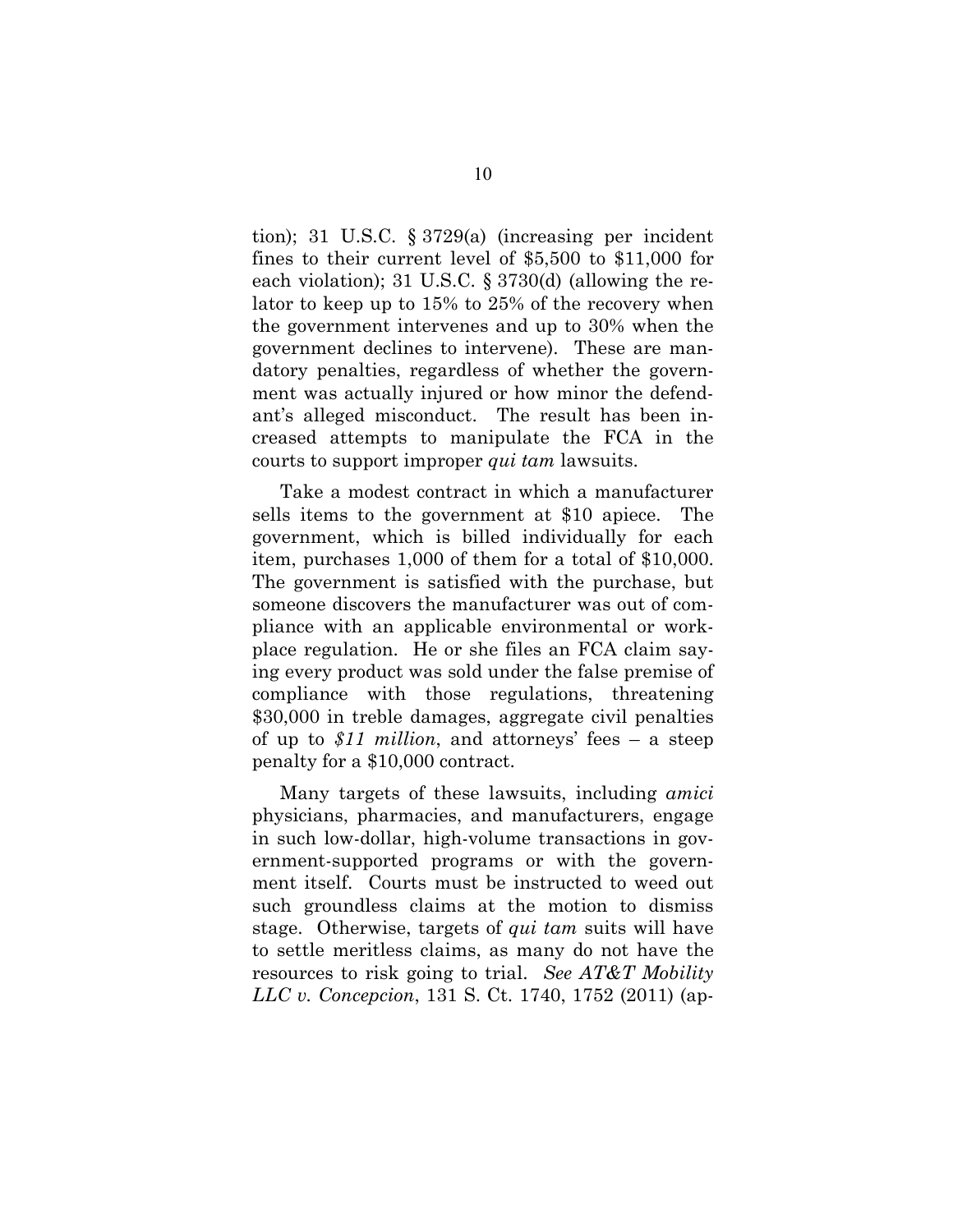tion); 31 U.S.C. § 3729(a) (increasing per incident fines to their current level of \$5,500 to \$11,000 for each violation); 31 U.S.C. § 3730(d) (allowing the relator to keep up to 15% to 25% of the recovery when the government intervenes and up to 30% when the government declines to intervene). These are mandatory penalties, regardless of whether the government was actually injured or how minor the defendant's alleged misconduct. The result has been increased attempts to manipulate the FCA in the courts to support improper *qui tam* lawsuits.

Take a modest contract in which a manufacturer sells items to the government at \$10 apiece. The government, which is billed individually for each item, purchases 1,000 of them for a total of \$10,000. The government is satisfied with the purchase, but someone discovers the manufacturer was out of compliance with an applicable environmental or workplace regulation. He or she files an FCA claim saying every product was sold under the false premise of compliance with those regulations, threatening \$30,000 in treble damages, aggregate civil penalties of up to *\$11 million*, and attorneys' fees – a steep penalty for a \$10,000 contract.

Many targets of these lawsuits, including *amici* physicians, pharmacies, and manufacturers, engage in such low-dollar, high-volume transactions in government-supported programs or with the government itself. Courts must be instructed to weed out such groundless claims at the motion to dismiss stage. Otherwise, targets of *qui tam* suits will have to settle meritless claims, as many do not have the resources to risk going to trial. *See AT&T Mobility LLC v. Concepcion*, 131 S. Ct. 1740, 1752 (2011) (ap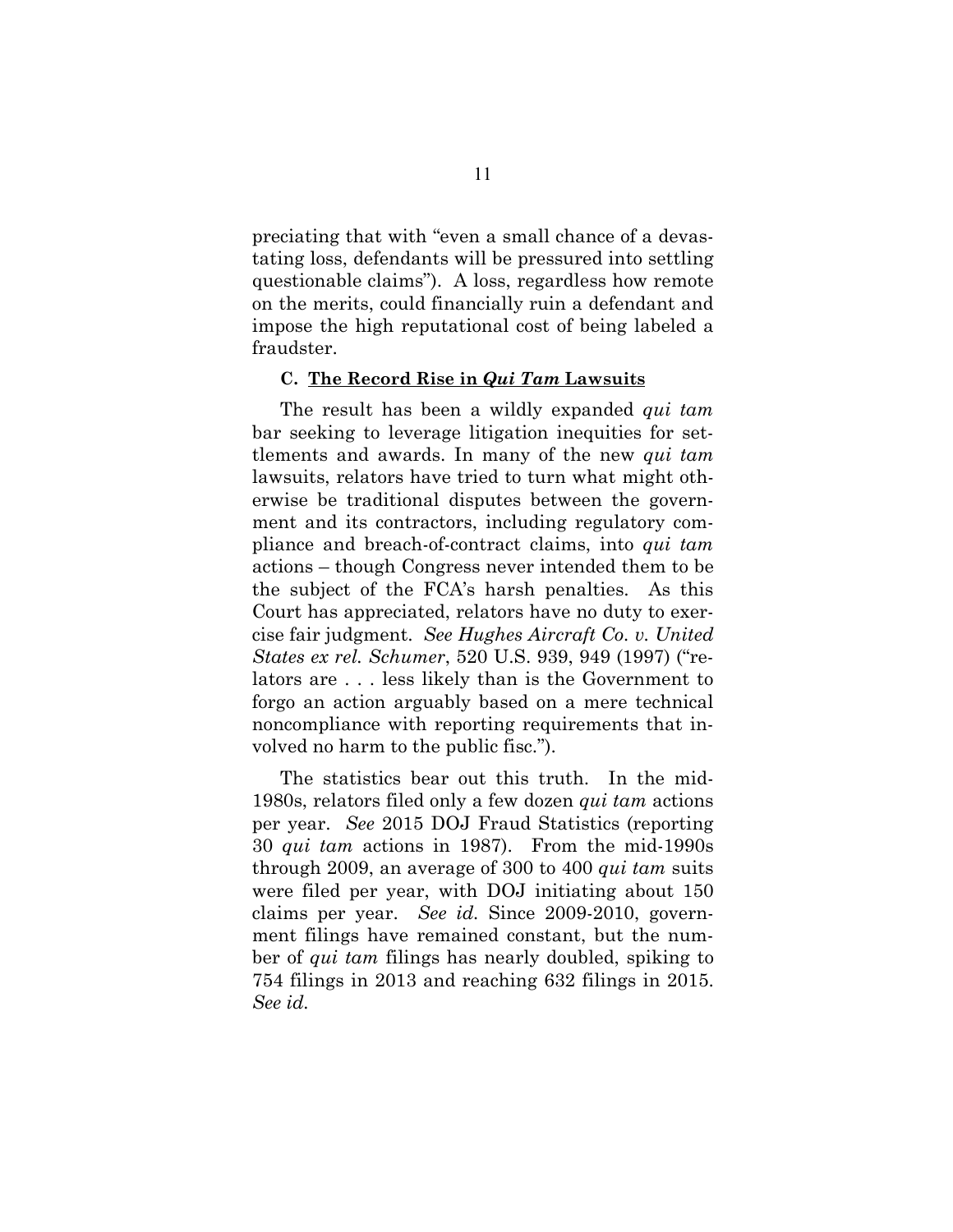preciating that with "even a small chance of a devastating loss, defendants will be pressured into settling questionable claims"). A loss, regardless how remote on the merits, could financially ruin a defendant and impose the high reputational cost of being labeled a fraudster.

#### **C. The Record Rise in** *Qui Tam* **Lawsuits**

The result has been a wildly expanded *qui tam* bar seeking to leverage litigation inequities for settlements and awards. In many of the new *qui tam* lawsuits, relators have tried to turn what might otherwise be traditional disputes between the government and its contractors, including regulatory compliance and breach-of-contract claims, into *qui tam* actions – though Congress never intended them to be the subject of the FCA's harsh penalties. As this Court has appreciated, relators have no duty to exercise fair judgment. *See Hughes Aircraft Co. v. United States ex rel. Schumer*, 520 U.S. 939, 949 (1997) ("relators are . . . less likely than is the Government to forgo an action arguably based on a mere technical noncompliance with reporting requirements that involved no harm to the public fisc.").

The statistics bear out this truth. In the mid-1980s, relators filed only a few dozen *qui tam* actions per year. *See* 2015 DOJ Fraud Statistics (reporting 30 *qui tam* actions in 1987). From the mid-1990s through 2009, an average of 300 to 400 *qui tam* suits were filed per year, with DOJ initiating about 150 claims per year. *See id.* Since 2009-2010, government filings have remained constant, but the number of *qui tam* filings has nearly doubled, spiking to 754 filings in 2013 and reaching 632 filings in 2015. *See id.*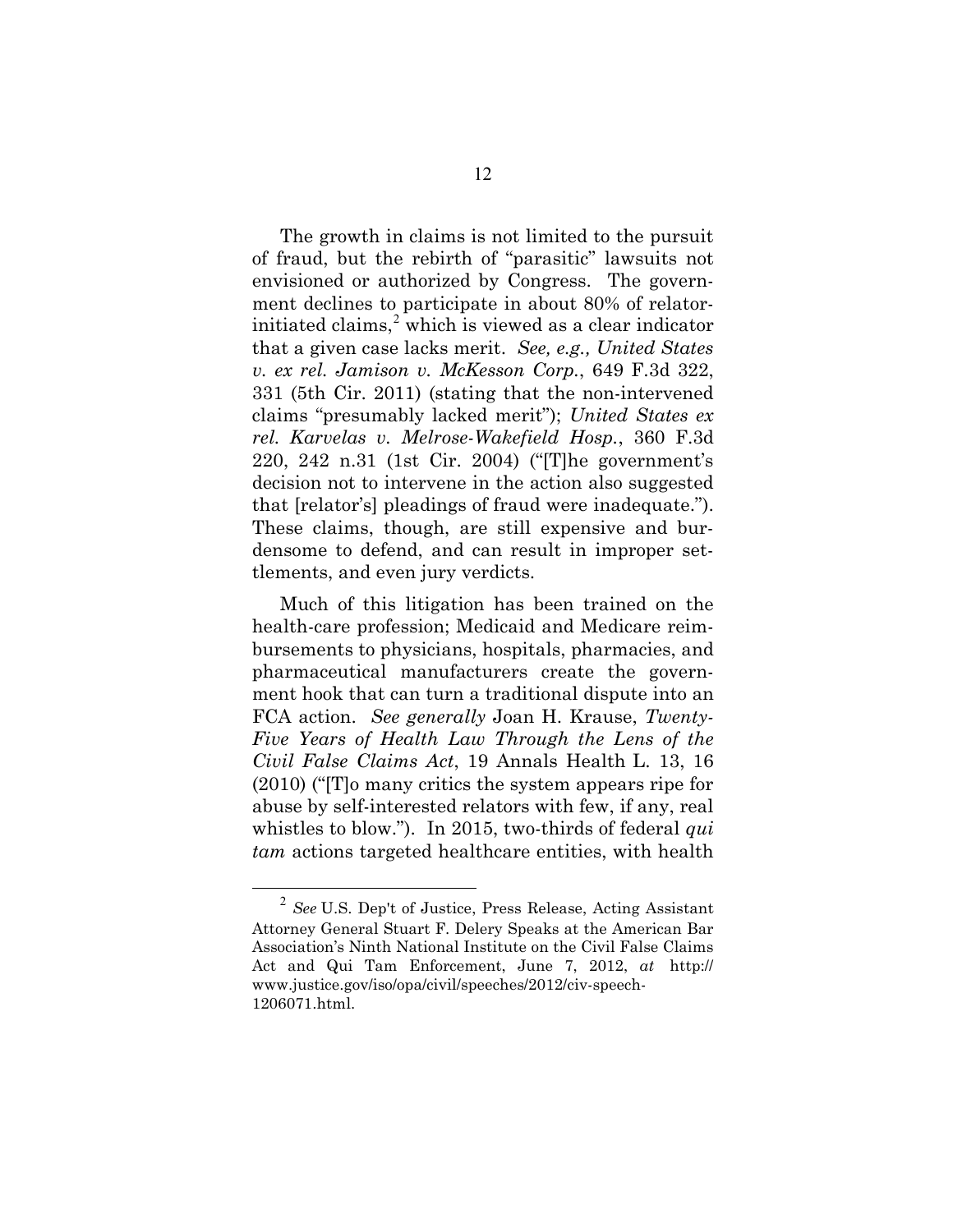The growth in claims is not limited to the pursuit of fraud, but the rebirth of "parasitic" lawsuits not envisioned or authorized by Congress. The government declines to participate in about 80% of relatorinitiated claims, <sup>2</sup> which is viewed as a clear indicator that a given case lacks merit. *See, e.g., United States v. ex rel. Jamison v. McKesson Corp.*, 649 F.3d 322, 331 (5th Cir. 2011) (stating that the non-intervened claims "presumably lacked merit"); *United States ex rel. Karvelas v. Melrose-Wakefield Hosp.*, 360 F.3d 220, 242 n.31 (1st Cir. 2004) ("[T]he government's decision not to intervene in the action also suggested that [relator's] pleadings of fraud were inadequate."). These claims, though, are still expensive and burdensome to defend, and can result in improper settlements, and even jury verdicts.

Much of this litigation has been trained on the health-care profession; Medicaid and Medicare reimbursements to physicians, hospitals, pharmacies, and pharmaceutical manufacturers create the government hook that can turn a traditional dispute into an FCA action. *See generally* Joan H. Krause, *Twenty-Five Years of Health Law Through the Lens of the Civil False Claims Act*, 19 Annals Health L. 13, 16 (2010) ("[T]o many critics the system appears ripe for abuse by self-interested relators with few, if any, real whistles to blow."). In 2015, two-thirds of federal *qui tam* actions targeted healthcare entities, with health

 <sup>2</sup> *See* U.S. Dep't of Justice, Press Release, Acting Assistant Attorney General Stuart F. Delery Speaks at the American Bar Association's Ninth National Institute on the Civil False Claims Act and Qui Tam Enforcement, June 7, 2012, *at* http:// www.justice.gov/iso/opa/civil/speeches/2012/civ-speech-1206071.html.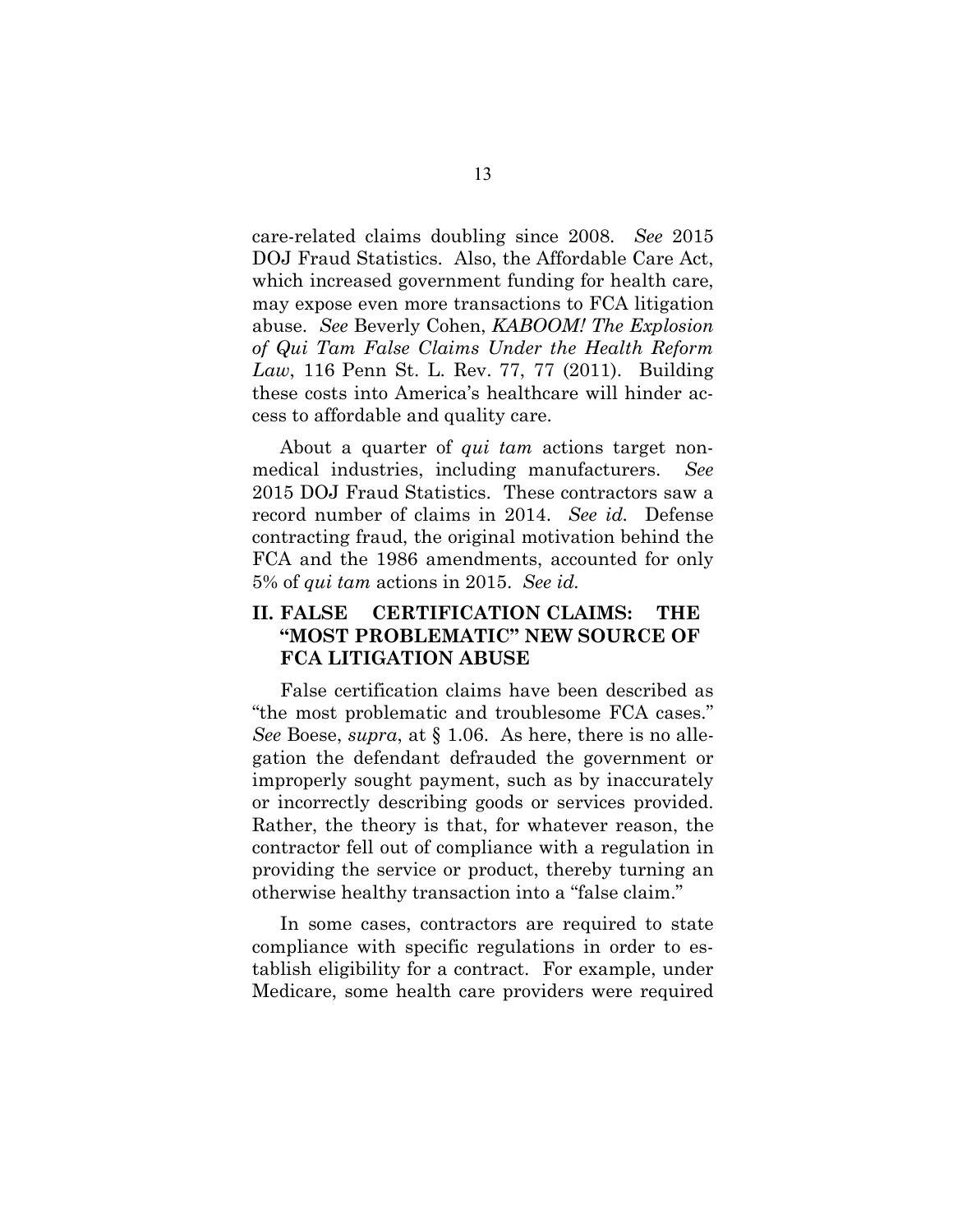care-related claims doubling since 2008. *See* 2015 DOJ Fraud Statistics. Also, the Affordable Care Act, which increased government funding for health care, may expose even more transactions to FCA litigation abuse. *See* Beverly Cohen, *KABOOM! The Explosion of Qui Tam False Claims Under the Health Reform Law*, 116 Penn St. L. Rev. 77, 77 (2011). Building these costs into America's healthcare will hinder access to affordable and quality care.

About a quarter of *qui tam* actions target nonmedical industries, including manufacturers. *See* 2015 DOJ Fraud Statistics. These contractors saw a record number of claims in 2014. *See id.* Defense contracting fraud, the original motivation behind the FCA and the 1986 amendments, accounted for only 5% of *qui tam* actions in 2015. *See id.*

### **II. FALSE CERTIFICATION CLAIMS: THE "MOST PROBLEMATIC" NEW SOURCE OF FCA LITIGATION ABUSE**

False certification claims have been described as "the most problematic and troublesome FCA cases." *See* Boese, *supra*, at § 1.06. As here, there is no allegation the defendant defrauded the government or improperly sought payment, such as by inaccurately or incorrectly describing goods or services provided. Rather, the theory is that, for whatever reason, the contractor fell out of compliance with a regulation in providing the service or product, thereby turning an otherwise healthy transaction into a "false claim."

In some cases, contractors are required to state compliance with specific regulations in order to establish eligibility for a contract. For example, under Medicare, some health care providers were required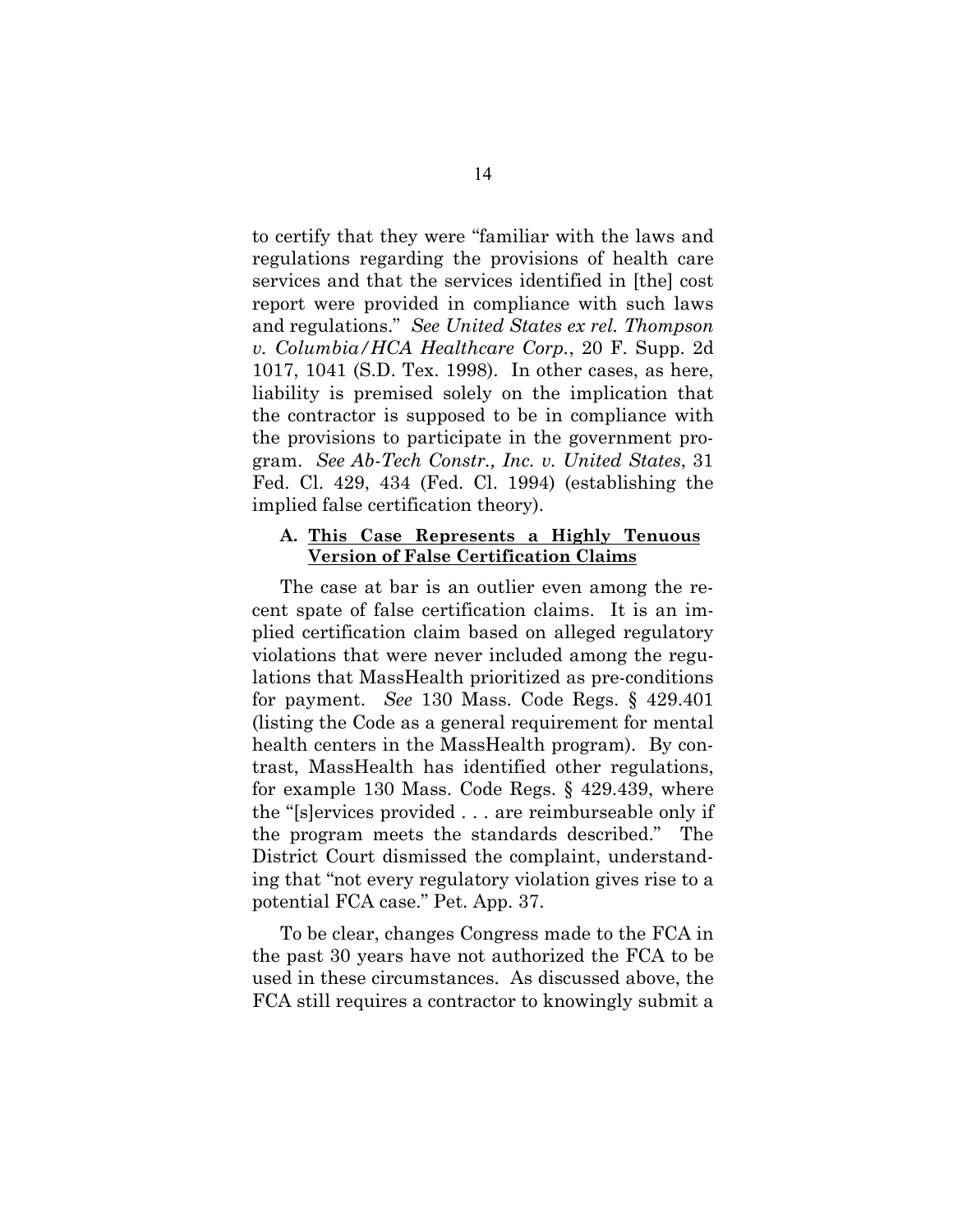to certify that they were "familiar with the laws and regulations regarding the provisions of health care services and that the services identified in [the] cost report were provided in compliance with such laws and regulations." *See United States ex rel. Thompson v. Columbia/HCA Healthcare Corp.*, 20 F. Supp. 2d 1017, 1041 (S.D. Tex. 1998). In other cases, as here, liability is premised solely on the implication that the contractor is supposed to be in compliance with the provisions to participate in the government program. *See Ab-Tech Constr., Inc. v. United States*, 31 Fed. Cl. 429, 434 (Fed. Cl. 1994) (establishing the implied false certification theory).

#### **A. This Case Represents a Highly Tenuous Version of False Certification Claims**

The case at bar is an outlier even among the recent spate of false certification claims. It is an implied certification claim based on alleged regulatory violations that were never included among the regulations that MassHealth prioritized as pre-conditions for payment. *See* 130 Mass. Code Regs. § 429.401 (listing the Code as a general requirement for mental health centers in the MassHealth program). By contrast, MassHealth has identified other regulations, for example 130 Mass. Code Regs. § 429.439, where the "[s]ervices provided . . . are reimburseable only if the program meets the standards described." The District Court dismissed the complaint, understanding that "not every regulatory violation gives rise to a potential FCA case." Pet. App. 37.

To be clear, changes Congress made to the FCA in the past 30 years have not authorized the FCA to be used in these circumstances. As discussed above, the FCA still requires a contractor to knowingly submit a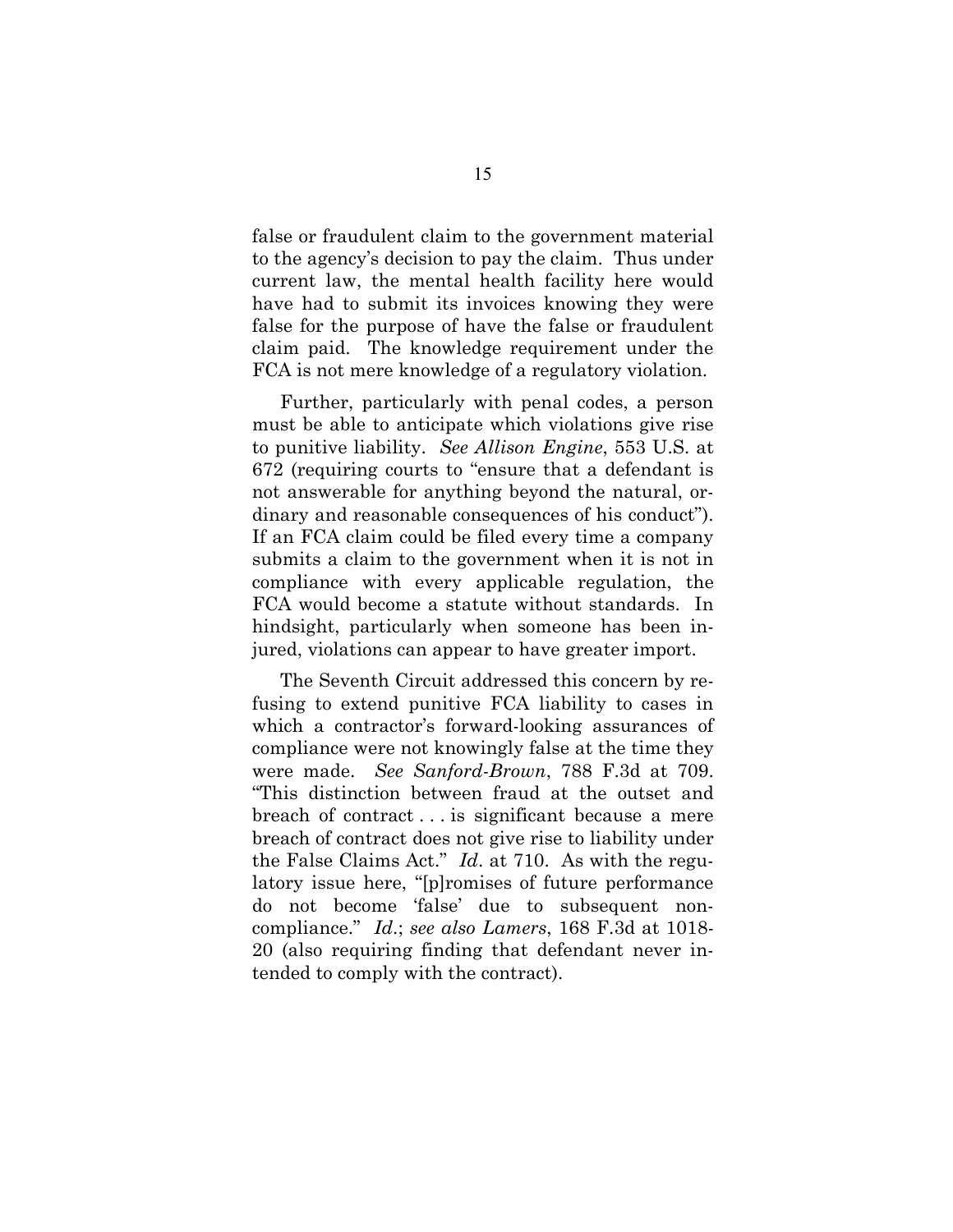false or fraudulent claim to the government material to the agency's decision to pay the claim. Thus under current law, the mental health facility here would have had to submit its invoices knowing they were false for the purpose of have the false or fraudulent claim paid. The knowledge requirement under the FCA is not mere knowledge of a regulatory violation.

Further, particularly with penal codes, a person must be able to anticipate which violations give rise to punitive liability. *See Allison Engine*, 553 U.S. at 672 (requiring courts to "ensure that a defendant is not answerable for anything beyond the natural, ordinary and reasonable consequences of his conduct"). If an FCA claim could be filed every time a company submits a claim to the government when it is not in compliance with every applicable regulation, the FCA would become a statute without standards. In hindsight, particularly when someone has been injured, violations can appear to have greater import.

The Seventh Circuit addressed this concern by refusing to extend punitive FCA liability to cases in which a contractor's forward-looking assurances of compliance were not knowingly false at the time they were made. *See Sanford-Brown*, 788 F.3d at 709. "This distinction between fraud at the outset and breach of contract . . . is significant because a mere breach of contract does not give rise to liability under the False Claims Act." *Id*. at 710. As with the regulatory issue here, "[p]romises of future performance do not become 'false' due to subsequent noncompliance." *Id*.; *see also Lamers*, 168 F.3d at 1018- 20 (also requiring finding that defendant never intended to comply with the contract).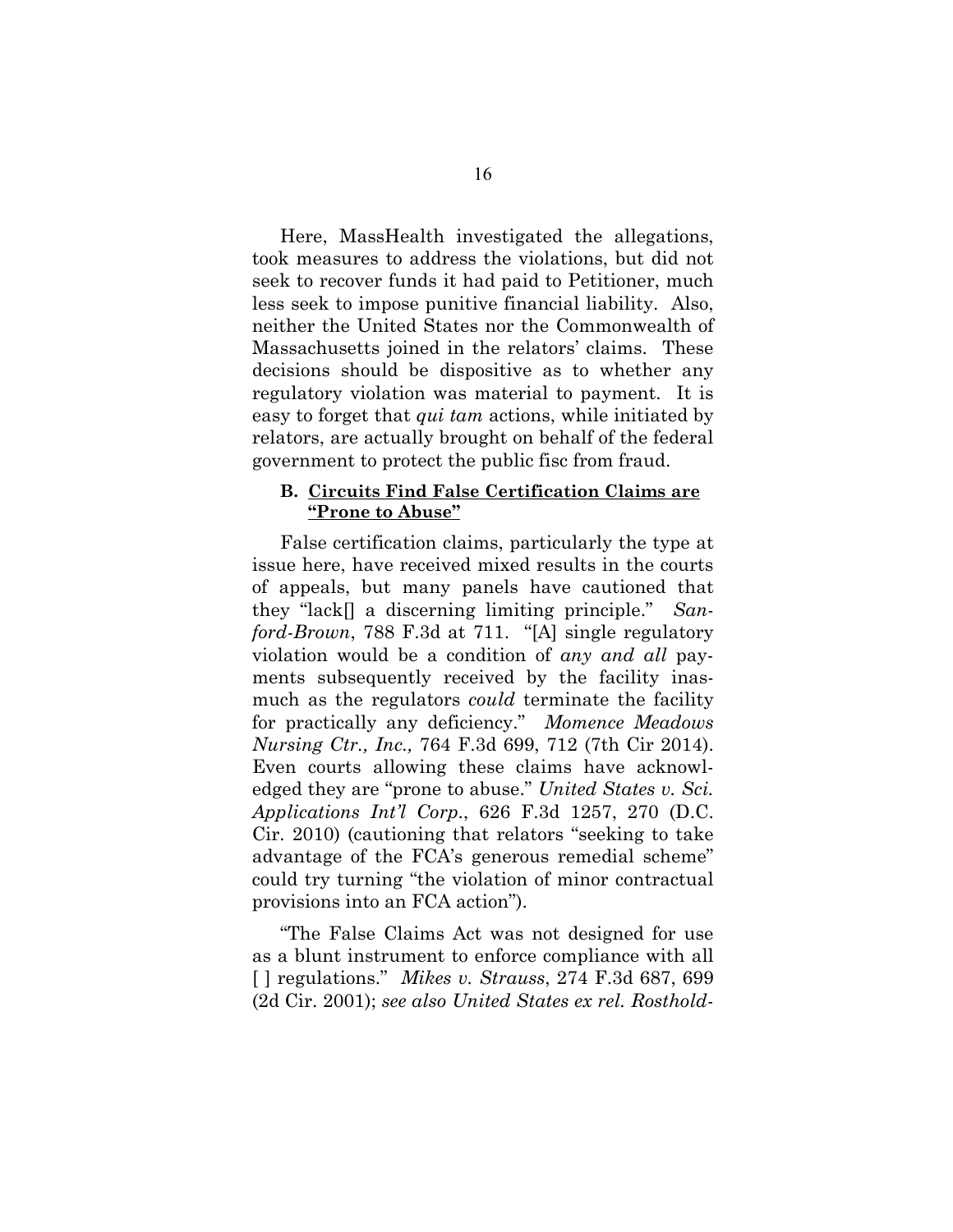Here, MassHealth investigated the allegations, took measures to address the violations, but did not seek to recover funds it had paid to Petitioner, much less seek to impose punitive financial liability. Also, neither the United States nor the Commonwealth of Massachusetts joined in the relators' claims. These decisions should be dispositive as to whether any regulatory violation was material to payment. It is easy to forget that *qui tam* actions, while initiated by relators, are actually brought on behalf of the federal government to protect the public fisc from fraud.

#### **B. Circuits Find False Certification Claims are "Prone to Abuse"**

False certification claims, particularly the type at issue here, have received mixed results in the courts of appeals, but many panels have cautioned that they "lack[] a discerning limiting principle." *Sanford-Brown*, 788 F.3d at 711. "[A] single regulatory violation would be a condition of *any and all* payments subsequently received by the facility inasmuch as the regulators *could* terminate the facility for practically any deficiency." *Momence Meadows Nursing Ctr., Inc.,* 764 F.3d 699, 712 (7th Cir 2014). Even courts allowing these claims have acknowledged they are "prone to abuse." *United States v. Sci. Applications Int'l Corp*., 626 F.3d 1257, 270 (D.C. Cir. 2010) (cautioning that relators "seeking to take advantage of the FCA's generous remedial scheme" could try turning "the violation of minor contractual provisions into an FCA action").

"The False Claims Act was not designed for use as a blunt instrument to enforce compliance with all [ ] regulations." *Mikes v. Strauss*, 274 F.3d 687, 699 (2d Cir. 2001); *see also United States ex rel. Rosthold-*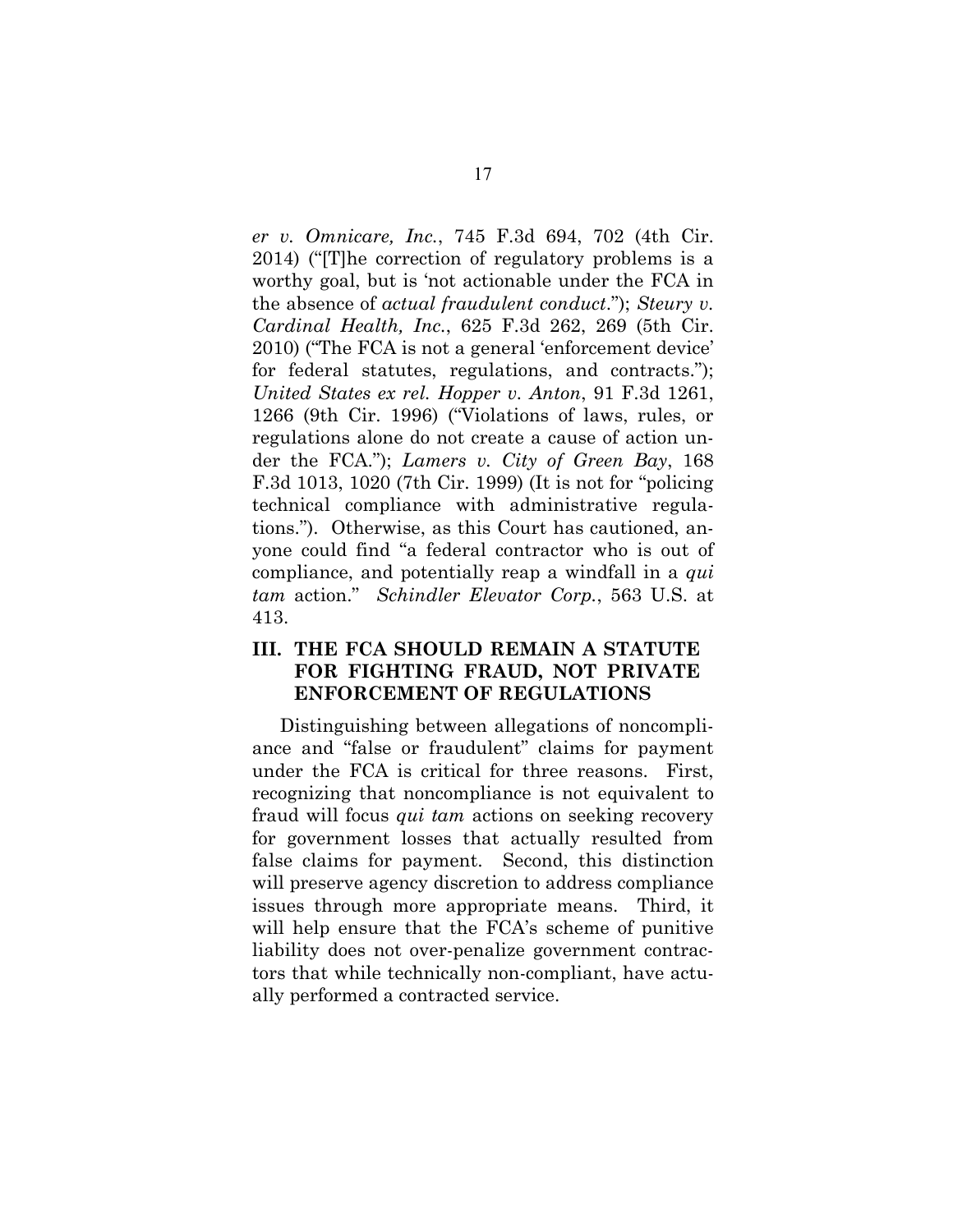*er v. Omnicare, Inc.*, 745 F.3d 694, 702 (4th Cir. 2014) ("[T]he correction of regulatory problems is a worthy goal, but is 'not actionable under the FCA in the absence of *actual fraudulent conduct*."); *Steury v. Cardinal Health, Inc.*, 625 F.3d 262, 269 (5th Cir. 2010) ("The FCA is not a general 'enforcement device' for federal statutes, regulations, and contracts."); *United States ex rel. Hopper v. Anton*, 91 F.3d 1261, 1266 (9th Cir. 1996) ("Violations of laws, rules, or regulations alone do not create a cause of action under the FCA."); *Lamers v. City of Green Bay*, 168 F.3d 1013, 1020 (7th Cir. 1999) (It is not for "policing technical compliance with administrative regulations."). Otherwise, as this Court has cautioned, anyone could find "a federal contractor who is out of compliance, and potentially reap a windfall in a *qui tam* action." *Schindler Elevator Corp.*, 563 U.S. at 413.

### **III. THE FCA SHOULD REMAIN A STATUTE FOR FIGHTING FRAUD, NOT PRIVATE ENFORCEMENT OF REGULATIONS**

Distinguishing between allegations of noncompliance and "false or fraudulent" claims for payment under the FCA is critical for three reasons. First, recognizing that noncompliance is not equivalent to fraud will focus *qui tam* actions on seeking recovery for government losses that actually resulted from false claims for payment. Second, this distinction will preserve agency discretion to address compliance issues through more appropriate means. Third, it will help ensure that the FCA's scheme of punitive liability does not over-penalize government contractors that while technically non-compliant, have actually performed a contracted service.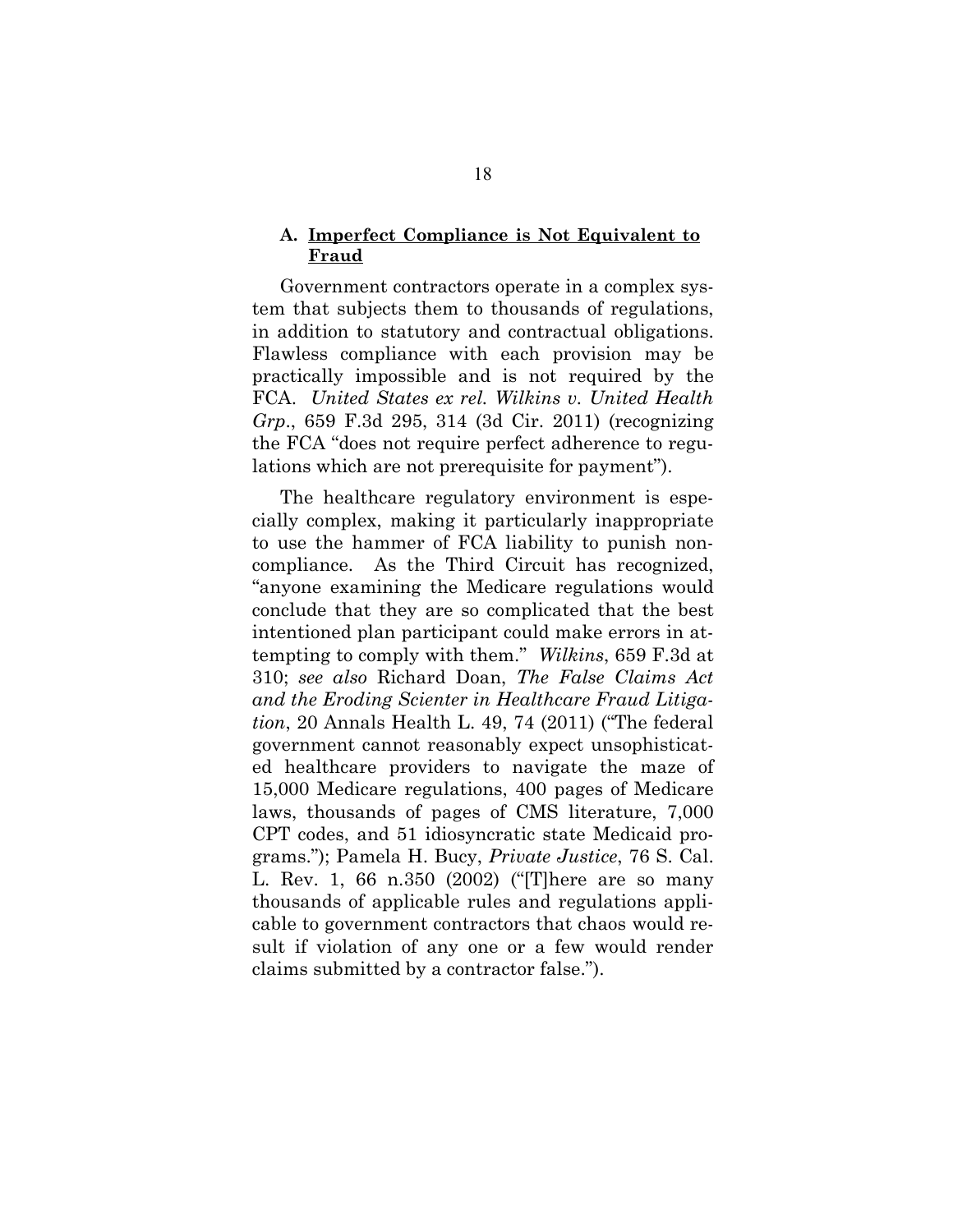#### **A. Imperfect Compliance is Not Equivalent to Fraud**

Government contractors operate in a complex system that subjects them to thousands of regulations, in addition to statutory and contractual obligations. Flawless compliance with each provision may be practically impossible and is not required by the FCA. *United States ex rel. Wilkins v. United Health Grp*., 659 F.3d 295, 314 (3d Cir. 2011) (recognizing the FCA "does not require perfect adherence to regulations which are not prerequisite for payment").

The healthcare regulatory environment is especially complex, making it particularly inappropriate to use the hammer of FCA liability to punish noncompliance. As the Third Circuit has recognized, "anyone examining the Medicare regulations would conclude that they are so complicated that the best intentioned plan participant could make errors in attempting to comply with them." *Wilkins*, 659 F.3d at 310; *see also* Richard Doan, *The False Claims Act and the Eroding Scienter in Healthcare Fraud Litigation*, 20 Annals Health L. 49, 74 (2011) ("The federal government cannot reasonably expect unsophisticated healthcare providers to navigate the maze of 15,000 Medicare regulations, 400 pages of Medicare laws, thousands of pages of CMS literature, 7,000 CPT codes, and 51 idiosyncratic state Medicaid programs."); Pamela H. Bucy, *Private Justice*, 76 S. Cal. L. Rev. 1, 66 n.350 (2002) ("[T]here are so many thousands of applicable rules and regulations applicable to government contractors that chaos would result if violation of any one or a few would render claims submitted by a contractor false.").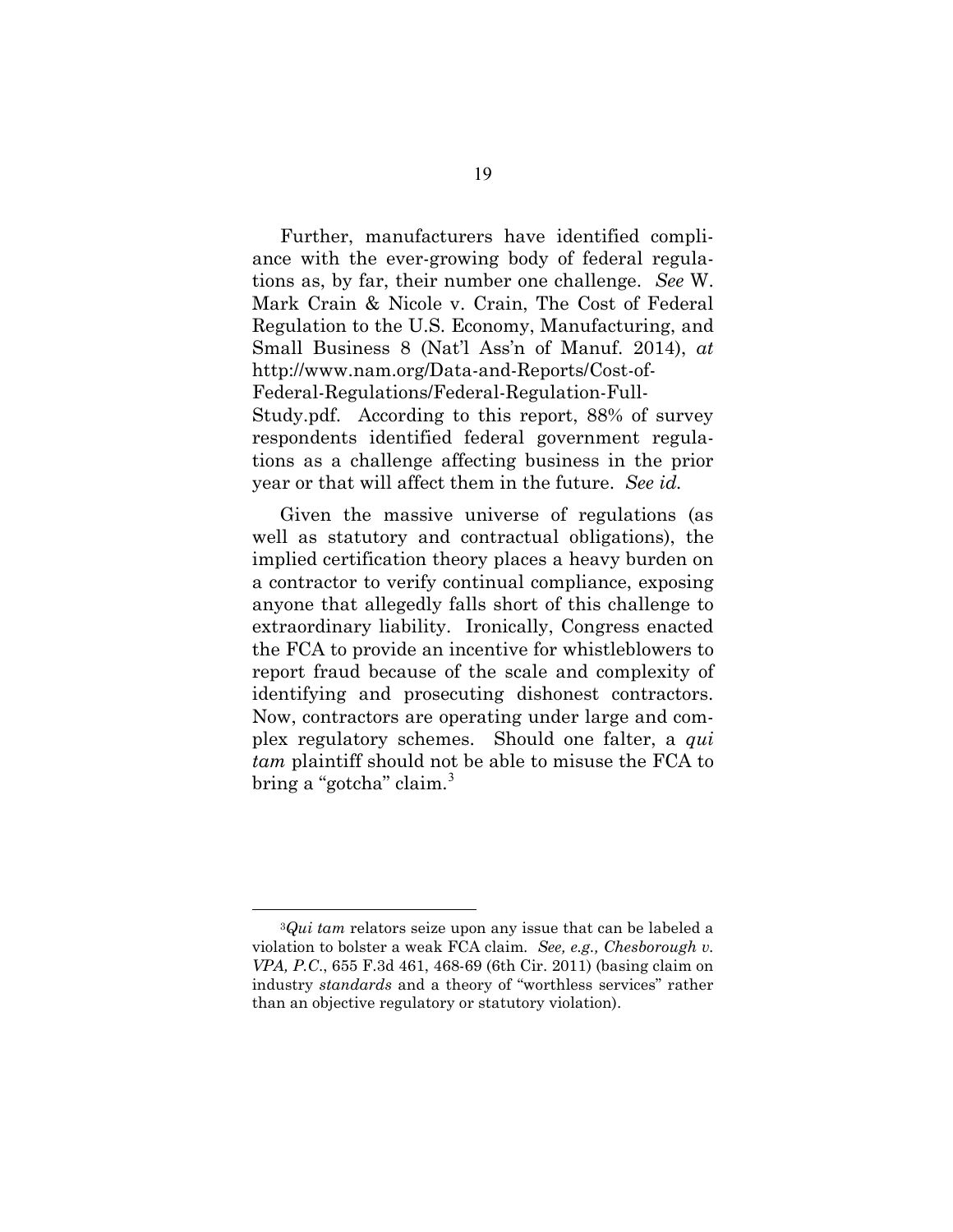Further, manufacturers have identified compliance with the ever-growing body of federal regulations as, by far, their number one challenge. *See* W. Mark Crain & Nicole v. Crain, The Cost of Federal Regulation to the U.S. Economy, Manufacturing, and Small Business 8 (Nat'l Ass'n of Manuf. 2014), *at* http://www.nam.org/Data-and-Reports/Cost-of-Federal-Regulations/Federal-Regulation-Full-Study.pdf. According to this report, 88% of survey respondents identified federal government regulations as a challenge affecting business in the prior year or that will affect them in the future. *See id.*

Given the massive universe of regulations (as well as statutory and contractual obligations), the implied certification theory places a heavy burden on a contractor to verify continual compliance, exposing anyone that allegedly falls short of this challenge to extraordinary liability. Ironically, Congress enacted the FCA to provide an incentive for whistleblowers to report fraud because of the scale and complexity of identifying and prosecuting dishonest contractors. Now, contractors are operating under large and complex regulatory schemes. Should one falter, a *qui tam* plaintiff should not be able to misuse the FCA to bring a "gotcha" claim.<sup>3</sup>

 $\overline{a}$ 

<sup>3</sup>*Qui tam* relators seize upon any issue that can be labeled a violation to bolster a weak FCA claim*. See, e.g., Chesborough v. VPA, P.C*., 655 F.3d 461, 468-69 (6th Cir. 2011) (basing claim on industry *standards* and a theory of "worthless services" rather than an objective regulatory or statutory violation).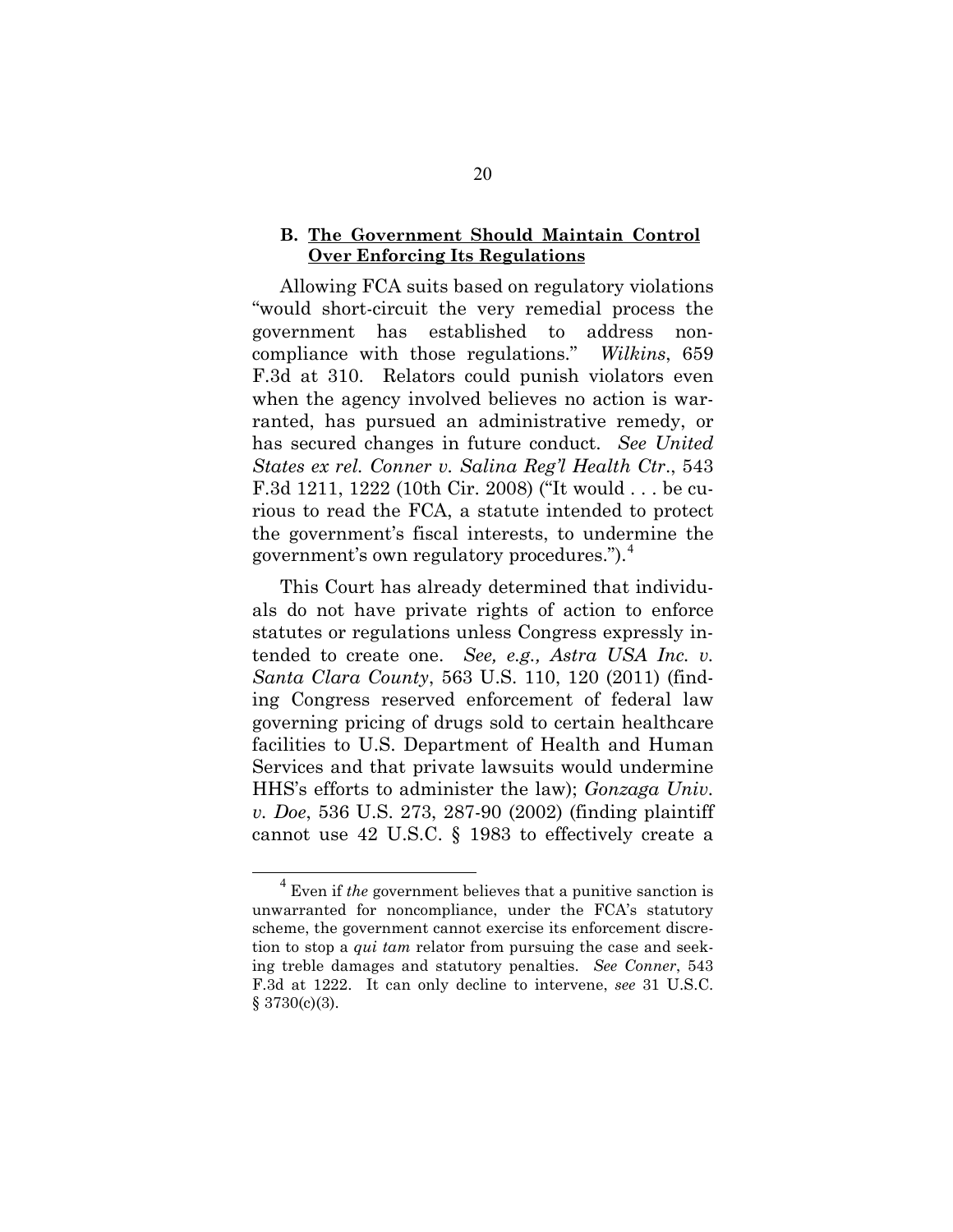#### **B. The Government Should Maintain Control Over Enforcing Its Regulations**

Allowing FCA suits based on regulatory violations "would short-circuit the very remedial process the government has established to address noncompliance with those regulations." *Wilkins*, 659 F.3d at 310. Relators could punish violators even when the agency involved believes no action is warranted, has pursued an administrative remedy, or has secured changes in future conduct. *See United States ex rel. Conner v. Salina Reg'l Health Ctr*., 543 F.3d 1211, 1222 (10th Cir. 2008) ("It would . . . be curious to read the FCA, a statute intended to protect the government's fiscal interests, to undermine the government's own regulatory procedures.").<sup>4</sup>

This Court has already determined that individuals do not have private rights of action to enforce statutes or regulations unless Congress expressly intended to create one. *See, e.g., Astra USA Inc. v. Santa Clara County*, 563 U.S. 110, 120 (2011) (finding Congress reserved enforcement of federal law governing pricing of drugs sold to certain healthcare facilities to U.S. Department of Health and Human Services and that private lawsuits would undermine HHS's efforts to administer the law); *Gonzaga Univ. v. Doe*, 536 U.S. 273, 287-90 (2002) (finding plaintiff cannot use 42 U.S.C. § 1983 to effectively create a

 <sup>4</sup> Even if *the* government believes that a punitive sanction is unwarranted for noncompliance, under the FCA's statutory scheme, the government cannot exercise its enforcement discretion to stop a *qui tam* relator from pursuing the case and seeking treble damages and statutory penalties. *See Conner*, 543 F.3d at 1222. It can only decline to intervene, *see* 31 U.S.C. § 3730(c)(3).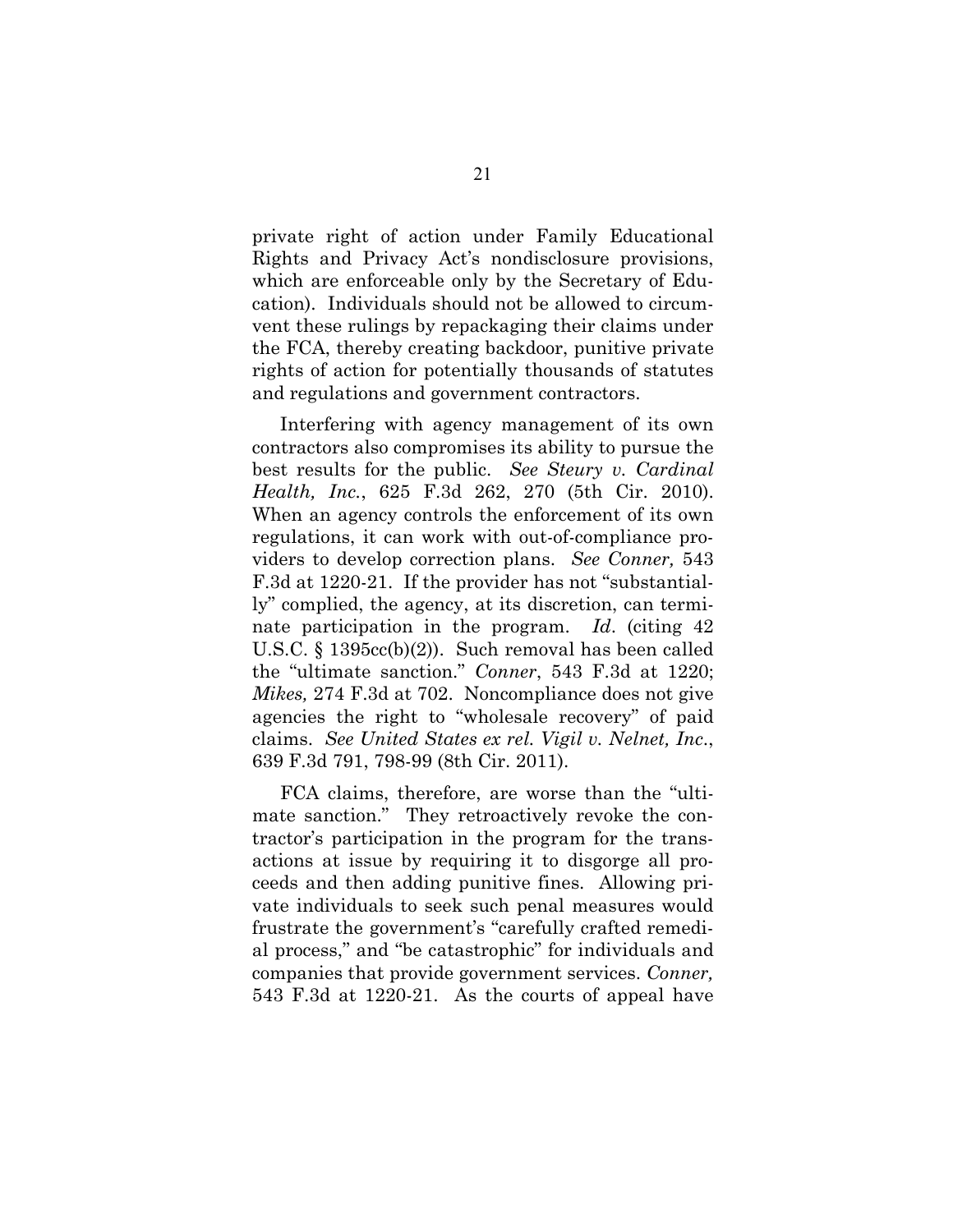private right of action under Family Educational Rights and Privacy Act's nondisclosure provisions, which are enforceable only by the Secretary of Education). Individuals should not be allowed to circumvent these rulings by repackaging their claims under the FCA, thereby creating backdoor, punitive private rights of action for potentially thousands of statutes and regulations and government contractors.

Interfering with agency management of its own contractors also compromises its ability to pursue the best results for the public. *See Steury v. Cardinal Health, Inc.*, 625 F.3d 262, 270 (5th Cir. 2010). When an agency controls the enforcement of its own regulations, it can work with out-of-compliance providers to develop correction plans. *See Conner,* 543 F.3d at 1220-21. If the provider has not "substantially" complied, the agency, at its discretion, can terminate participation in the program. *Id*. (citing 42 U.S.C. § 1395cc(b)(2)). Such removal has been called the "ultimate sanction." *Conner*, 543 F.3d at 1220; *Mikes,* 274 F.3d at 702.Noncompliance does not give agencies the right to "wholesale recovery" of paid claims. *See United States ex rel. Vigil v. Nelnet, Inc*., 639 F.3d 791, 798-99 (8th Cir. 2011).

FCA claims, therefore, are worse than the "ultimate sanction." They retroactively revoke the contractor's participation in the program for the transactions at issue by requiring it to disgorge all proceeds and then adding punitive fines. Allowing private individuals to seek such penal measures would frustrate the government's "carefully crafted remedial process," and "be catastrophic" for individuals and companies that provide government services. *Conner,*  543 F.3d at 1220-21. As the courts of appeal have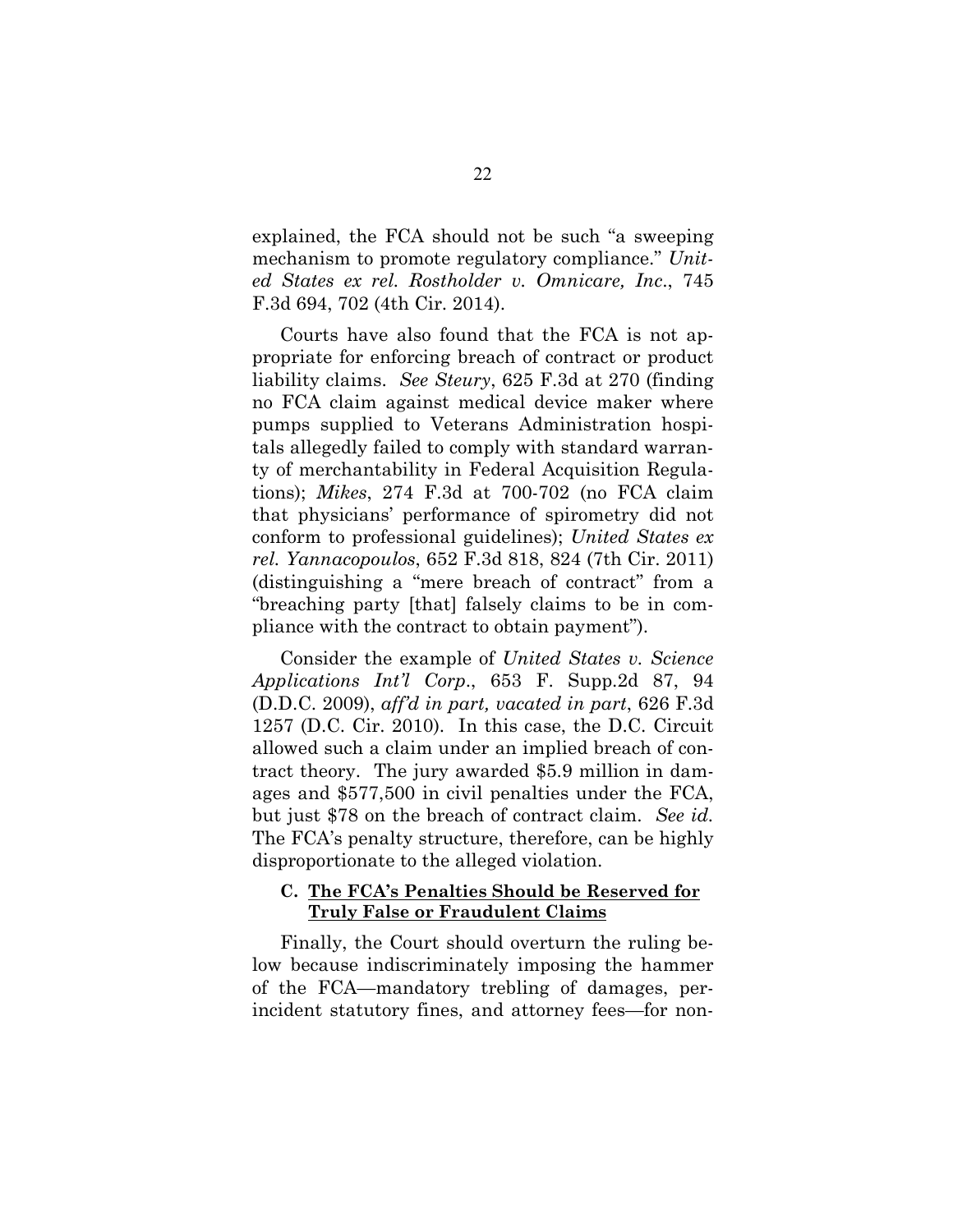explained, the FCA should not be such "a sweeping mechanism to promote regulatory compliance." *United States ex rel. Rostholder v. Omnicare, Inc*., 745 F.3d 694, 702 (4th Cir. 2014).

Courts have also found that the FCA is not appropriate for enforcing breach of contract or product liability claims. *See Steury*, 625 F.3d at 270 (finding no FCA claim against medical device maker where pumps supplied to Veterans Administration hospitals allegedly failed to comply with standard warranty of merchantability in Federal Acquisition Regulations); *Mikes*, 274 F.3d at 700-702 (no FCA claim that physicians' performance of spirometry did not conform to professional guidelines); *United States ex rel. Yannacopoulos*, 652 F.3d 818, 824 (7th Cir. 2011) (distinguishing a "mere breach of contract" from a "breaching party [that] falsely claims to be in compliance with the contract to obtain payment").

Consider the example of *United States v. Science Applications Int'l Corp*., 653 F. Supp.2d 87, 94 (D.D.C. 2009), *aff'd in part, vacated in part*, 626 F.3d 1257 (D.C. Cir. 2010). In this case, the D.C. Circuit allowed such a claim under an implied breach of contract theory. The jury awarded \$5.9 million in damages and \$577,500 in civil penalties under the FCA, but just \$78 on the breach of contract claim. *See id.* The FCA's penalty structure, therefore, can be highly disproportionate to the alleged violation.

#### **C. The FCA's Penalties Should be Reserved for Truly False or Fraudulent Claims**

Finally, the Court should overturn the ruling below because indiscriminately imposing the hammer of the FCA—mandatory trebling of damages, perincident statutory fines, and attorney fees—for non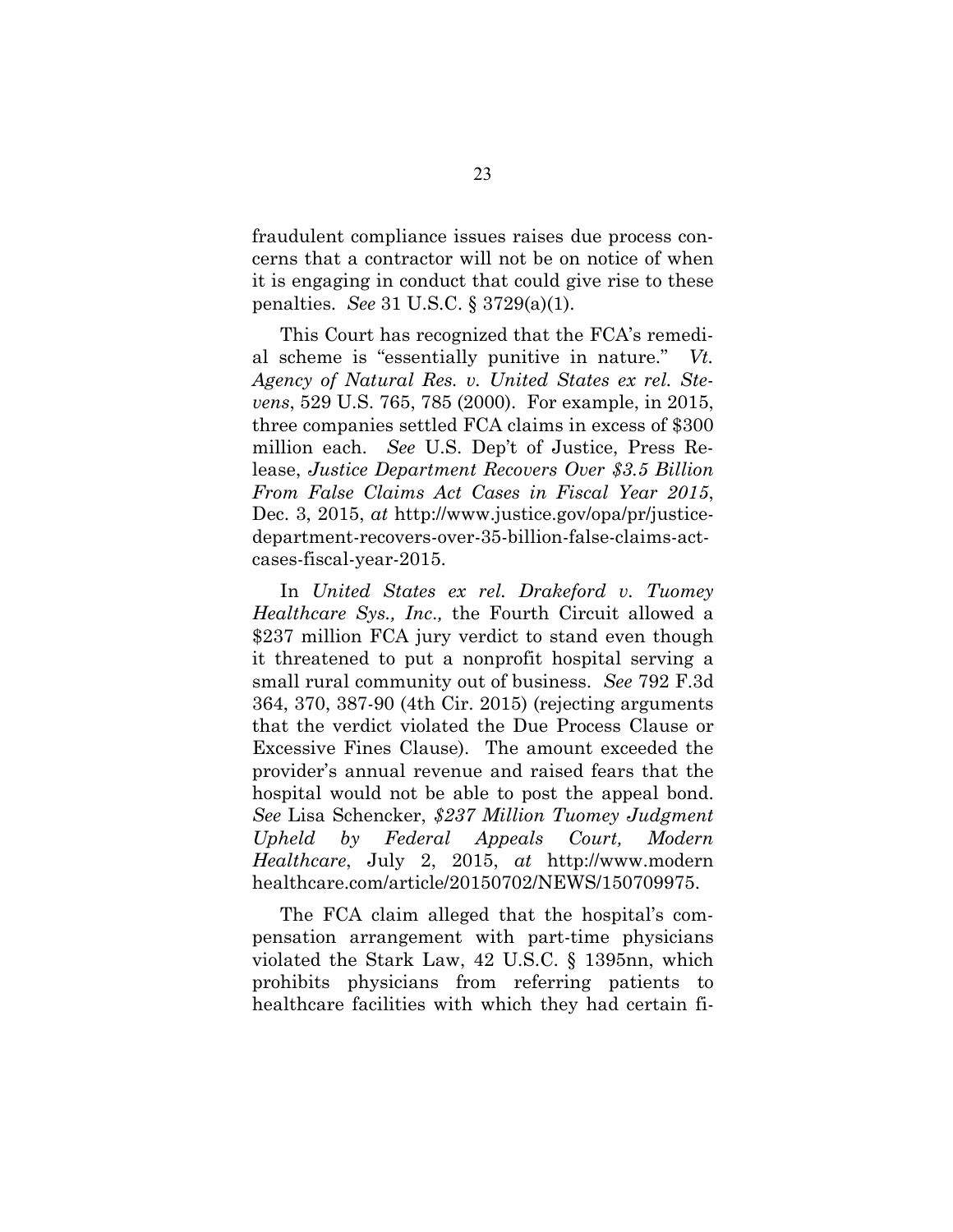fraudulent compliance issues raises due process concerns that a contractor will not be on notice of when it is engaging in conduct that could give rise to these penalties. *See* 31 U.S.C. § 3729(a)(1).

This Court has recognized that the FCA's remedial scheme is "essentially punitive in nature." *Vt. Agency of Natural Res. v. United States ex rel. Stevens*, 529 U.S. 765, 785 (2000). For example, in 2015, three companies settled FCA claims in excess of \$300 million each. *See* U.S. Dep't of Justice, Press Release, *Justice Department Recovers Over \$3.5 Billion From False Claims Act Cases in Fiscal Year 2015*, Dec. 3, 2015, *at* http://www.justice.gov/opa/pr/justicedepartment-recovers-over-35-billion-false-claims-actcases-fiscal-year-2015.

In *United States ex rel. Drakeford v. Tuomey Healthcare Sys., Inc*.*,* the Fourth Circuit allowed a \$237 million FCA jury verdict to stand even though it threatened to put a nonprofit hospital serving a small rural community out of business. *See* 792 F.3d 364, 370, 387-90 (4th Cir. 2015) (rejecting arguments that the verdict violated the Due Process Clause or Excessive Fines Clause). The amount exceeded the provider's annual revenue and raised fears that the hospital would not be able to post the appeal bond. *See* Lisa Schencker, *\$237 Million Tuomey Judgment Upheld by Federal Appeals Court, Modern Healthcare*, July 2, 2015, *at* http://www.modern healthcare.com/article/20150702/NEWS/150709975.

The FCA claim alleged that the hospital's compensation arrangement with part-time physicians violated the Stark Law, 42 U.S.C. § 1395nn, which prohibits physicians from referring patients to healthcare facilities with which they had certain fi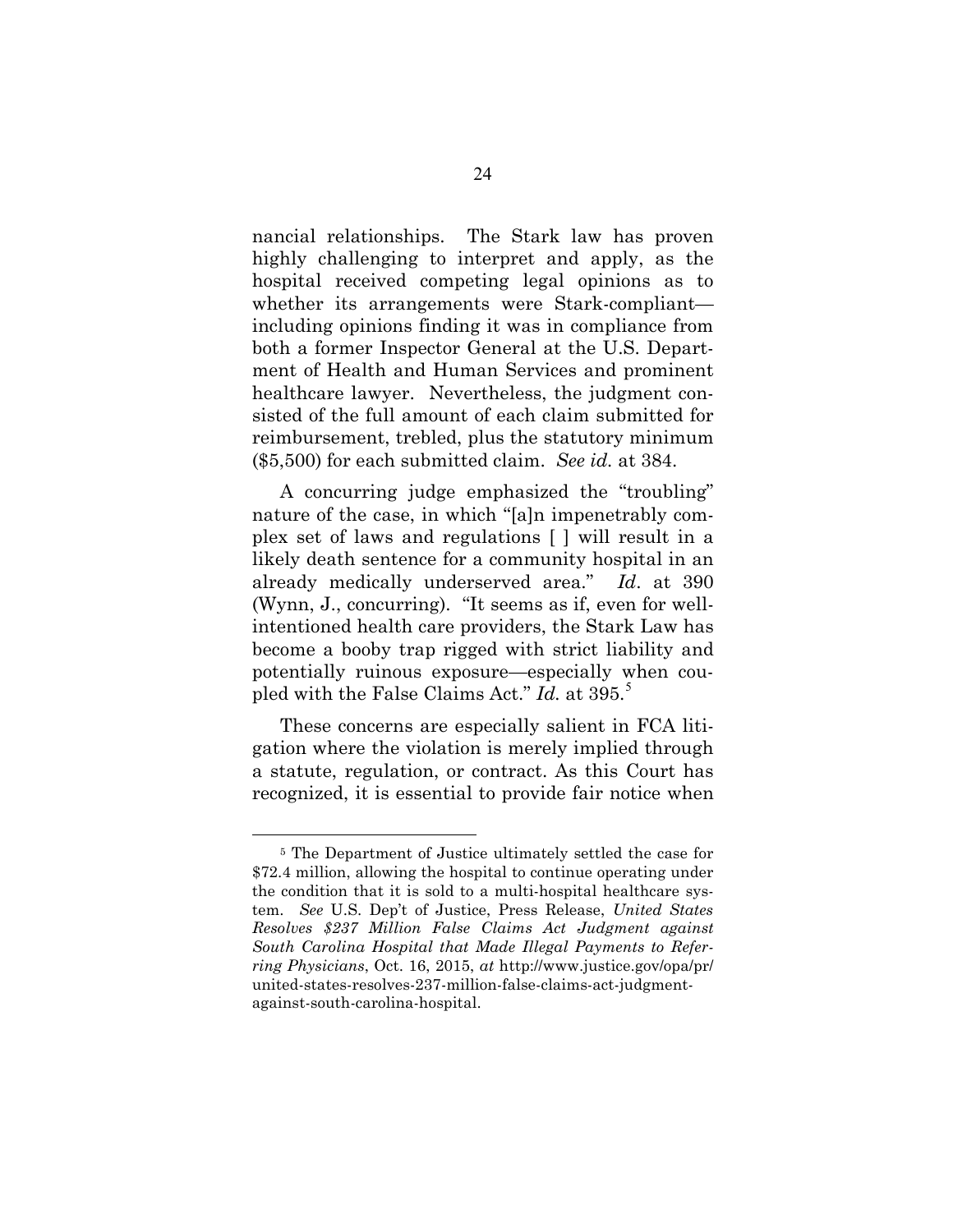nancial relationships. The Stark law has proven highly challenging to interpret and apply, as the hospital received competing legal opinions as to whether its arrangements were Stark-compliant including opinions finding it was in compliance from both a former Inspector General at the U.S. Department of Health and Human Services and prominent healthcare lawyer. Nevertheless, the judgment consisted of the full amount of each claim submitted for reimbursement, trebled, plus the statutory minimum (\$5,500) for each submitted claim. *See id.* at 384.

A concurring judge emphasized the "troubling" nature of the case, in which "[a]n impenetrably complex set of laws and regulations [ ] will result in a likely death sentence for a community hospital in an already medically underserved area." *Id*. at 390 (Wynn, J., concurring). "It seems as if, even for wellintentioned health care providers, the Stark Law has become a booby trap rigged with strict liability and potentially ruinous exposure—especially when coupled with the False Claims Act." *Id.* at 395.<sup>5</sup>

These concerns are especially salient in FCA litigation where the violation is merely implied through a statute, regulation, or contract. As this Court has recognized, it is essential to provide fair notice when

 $\overline{a}$ 

<sup>5</sup> The Department of Justice ultimately settled the case for \$72.4 million, allowing the hospital to continue operating under the condition that it is sold to a multi-hospital healthcare system. *See* U.S. Dep't of Justice, Press Release, *United States Resolves \$237 Million False Claims Act Judgment against South Carolina Hospital that Made Illegal Payments to Referring Physicians*, Oct. 16, 2015, *at* http://www.justice.gov/opa/pr/ united-states-resolves-237-million-false-claims-act-judgmentagainst-south-carolina-hospital.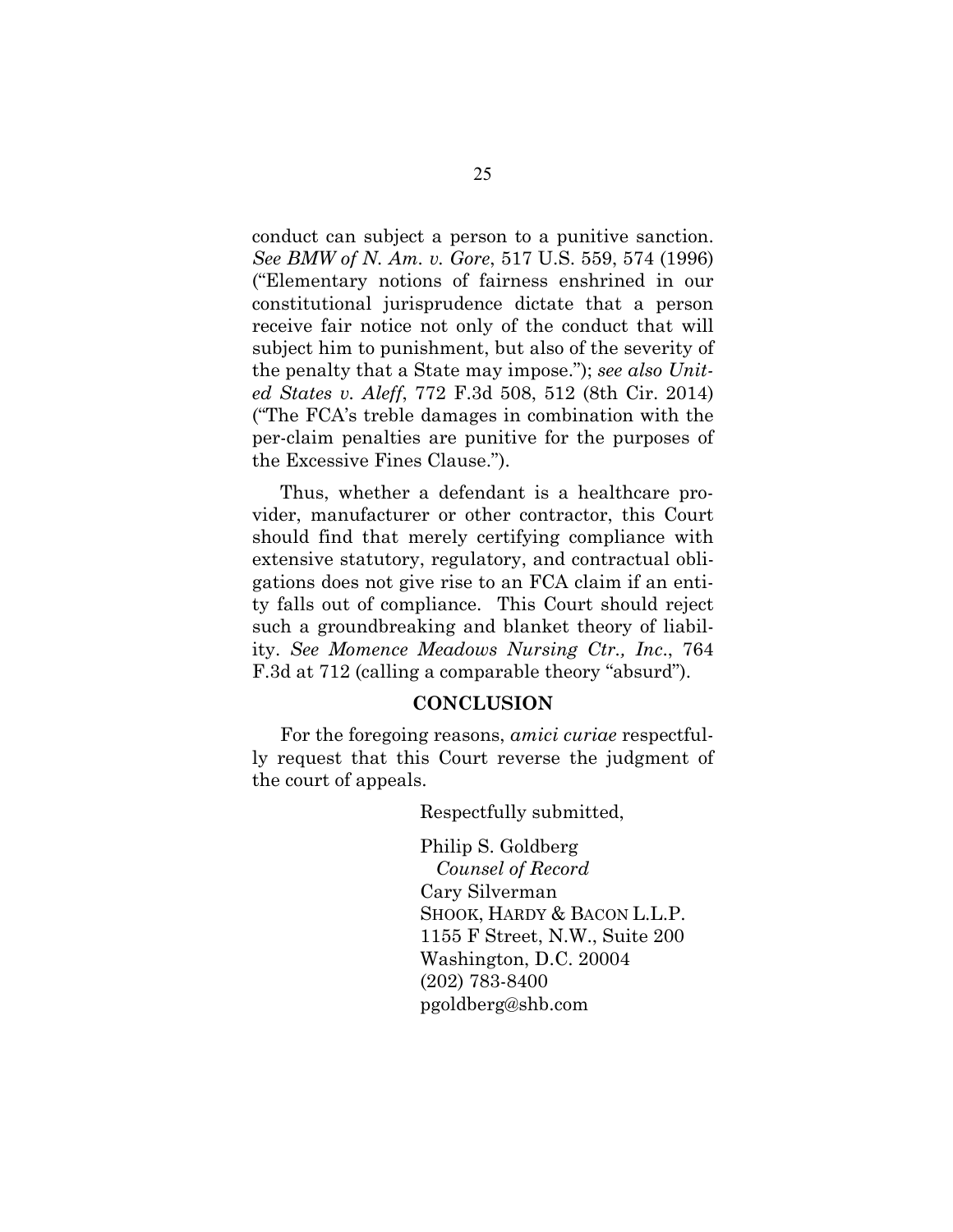conduct can subject a person to a punitive sanction. *See BMW of N. Am. v. Gore*, 517 U.S. 559, 574 (1996) ("Elementary notions of fairness enshrined in our constitutional jurisprudence dictate that a person receive fair notice not only of the conduct that will subject him to punishment, but also of the severity of the penalty that a State may impose."); *see also United States v. Aleff*, 772 F.3d 508, 512 (8th Cir. 2014) ("The FCA's treble damages in combination with the per-claim penalties are punitive for the purposes of the Excessive Fines Clause.").

Thus, whether a defendant is a healthcare provider, manufacturer or other contractor, this Court should find that merely certifying compliance with extensive statutory, regulatory, and contractual obligations does not give rise to an FCA claim if an entity falls out of compliance. This Court should reject such a groundbreaking and blanket theory of liability. *See Momence Meadows Nursing Ctr., Inc*., 764 F.3d at 712 (calling a comparable theory "absurd").

#### **CONCLUSION**

For the foregoing reasons, *amici curiae* respectfully request that this Court reverse the judgment of the court of appeals.

Respectfully submitted,

Philip S. Goldberg  *Counsel of Record* Cary Silverman SHOOK, HARDY & BACON L.L.P. 1155 F Street, N.W., Suite 200 Washington, D.C. 20004 (202) 783-8400 pgoldberg@shb.com